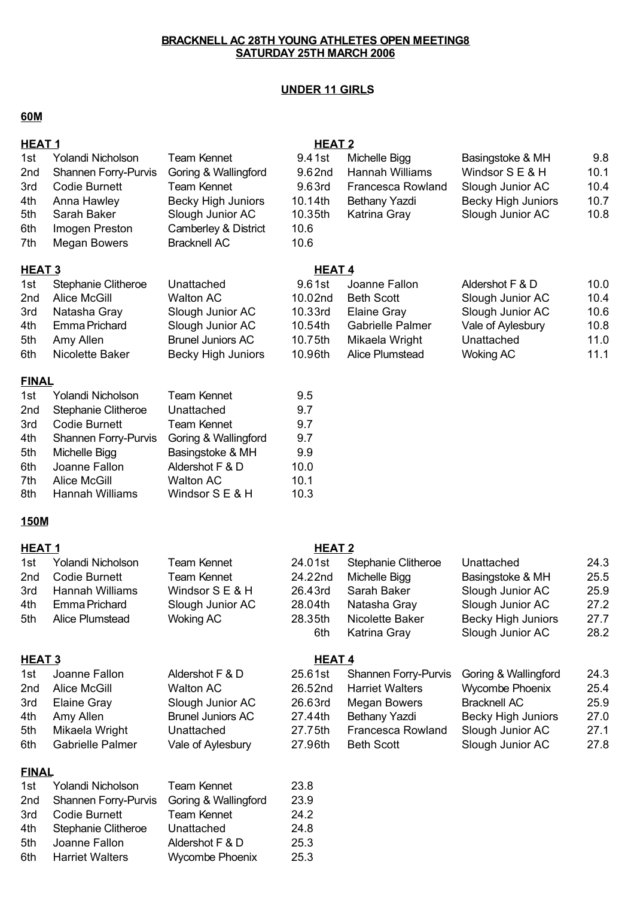## **UNDER 11 GIRLS**

## **60M**

| <b>HEAT1</b>                                         |                                                                                                                                                                             |                                                                                                                                                                  | <b>HEAT 2</b>                                                    |                                                                                                                                         |                                                                                                                                            |                                              |
|------------------------------------------------------|-----------------------------------------------------------------------------------------------------------------------------------------------------------------------------|------------------------------------------------------------------------------------------------------------------------------------------------------------------|------------------------------------------------------------------|-----------------------------------------------------------------------------------------------------------------------------------------|--------------------------------------------------------------------------------------------------------------------------------------------|----------------------------------------------|
| 1st<br>2nd<br>3rd<br>4th<br>5th<br>6th<br>7th        | Yolandi Nicholson<br><b>Shannen Forry-Purvis</b><br><b>Codie Burnett</b><br>Anna Hawley<br>Sarah Baker<br>Imogen Preston<br>Megan Bowers                                    | <b>Team Kennet</b><br>Goring & Wallingford<br><b>Team Kennet</b><br><b>Becky High Juniors</b><br>Slough Junior AC<br>Camberley & District<br><b>Bracknell AC</b> | 9.41st<br>9.62nd<br>9.63rd<br>10.14th<br>10.35th<br>10.6<br>10.6 | Michelle Bigg<br>Hannah Williams<br><b>Francesca Rowland</b><br>Bethany Yazdi<br>Katrina Gray                                           | Basingstoke & MH<br>Windsor S E & H<br>Slough Junior AC<br><b>Becky High Juniors</b><br>Slough Junior AC                                   | 9.8<br>10.1<br>10.4<br>10.7<br>10.8          |
| <u>HEAT 3</u>                                        |                                                                                                                                                                             |                                                                                                                                                                  | <b>HEAT4</b>                                                     |                                                                                                                                         |                                                                                                                                            |                                              |
| 1st<br>2nd<br>3rd<br>4th<br>5th<br>6th               | Stephanie Clitheroe<br><b>Alice McGill</b><br>Natasha Gray<br>Emma Prichard<br>Amy Allen<br>Nicolette Baker                                                                 | Unattached<br><b>Walton AC</b><br>Slough Junior AC<br>Slough Junior AC<br><b>Brunel Juniors AC</b><br><b>Becky High Juniors</b>                                  | 9.61st<br>10.02nd<br>10.33rd<br>10.54th<br>10.75th<br>10.96th    | Joanne Fallon<br><b>Beth Scott</b><br>Elaine Gray<br><b>Gabrielle Palmer</b><br>Mikaela Wright<br>Alice Plumstead                       | Aldershot F & D<br>Slough Junior AC<br>Slough Junior AC<br>Vale of Aylesbury<br>Unattached<br><b>Woking AC</b>                             | 10.0<br>10.4<br>10.6<br>10.8<br>11.0<br>11.1 |
| <b>FINAL</b>                                         |                                                                                                                                                                             |                                                                                                                                                                  |                                                                  |                                                                                                                                         |                                                                                                                                            |                                              |
| 1st<br>2nd<br>3rd<br>4th<br>5th<br>6th<br>7th<br>8th | Yolandi Nicholson<br><b>Stephanie Clitheroe</b><br><b>Codie Burnett</b><br>Shannen Forry-Purvis<br>Michelle Bigg<br>Joanne Fallon<br><b>Alice McGill</b><br>Hannah Williams | <b>Team Kennet</b><br>Unattached<br><b>Team Kennet</b><br>Goring & Wallingford<br>Basingstoke & MH<br>Aldershot F & D<br><b>Walton AC</b><br>Windsor S E & H     | 9.5<br>9.7<br>9.7<br>9.7<br>9.9<br>10.0<br>10.1<br>10.3          |                                                                                                                                         |                                                                                                                                            |                                              |
| 150M                                                 |                                                                                                                                                                             |                                                                                                                                                                  |                                                                  |                                                                                                                                         |                                                                                                                                            |                                              |
| <b>HEAT1</b>                                         |                                                                                                                                                                             |                                                                                                                                                                  | <b>HEAT 2</b>                                                    |                                                                                                                                         |                                                                                                                                            |                                              |
| 1st<br>2nd<br>3rd<br>4th<br>5th                      | Yolandi Nicholson<br><b>Codie Burnett</b><br>Hannah Williams<br>Emma Prichard<br>Alice Plumstead                                                                            | <b>Team Kennet</b><br><b>Team Kennet</b><br>Windsor S E & H<br>Slough Junior AC<br><b>Woking AC</b>                                                              | 24.01st<br>24.22nd<br>26.43rd<br>28.04th<br>28.35th<br>6th       | <b>Stephanie Clitheroe</b><br>Michelle Bigg<br>Sarah Baker<br>Natasha Gray<br>Nicolette Baker<br>Katrina Gray                           | Unattached<br>Basingstoke & MH<br>Slough Junior AC<br>Slough Junior AC<br><b>Becky High Juniors</b><br>Slough Junior AC                    | 24.3<br>25.5<br>25.9<br>27.2<br>27.7<br>28.2 |
| <b>HEAT 3</b>                                        |                                                                                                                                                                             |                                                                                                                                                                  | <b>HEAT4</b>                                                     |                                                                                                                                         |                                                                                                                                            |                                              |
| 1st<br>2nd<br>3rd<br>4th<br>5th<br>6th               | Joanne Fallon<br><b>Alice McGill</b><br>Elaine Gray<br>Amy Allen<br>Mikaela Wright<br><b>Gabrielle Palmer</b>                                                               | Aldershot F & D<br><b>Walton AC</b><br>Slough Junior AC<br><b>Brunel Juniors AC</b><br>Unattached<br>Vale of Aylesbury                                           | 25.61st<br>26.52nd<br>26.63rd<br>27.44th<br>27.75th<br>27.96th   | <b>Shannen Forry-Purvis</b><br><b>Harriet Walters</b><br><b>Megan Bowers</b><br>Bethany Yazdi<br>Francesca Rowland<br><b>Beth Scott</b> | Goring & Wallingford<br><b>Wycombe Phoenix</b><br><b>Bracknell AC</b><br><b>Becky High Juniors</b><br>Slough Junior AC<br>Slough Junior AC | 24.3<br>25.4<br>25.9<br>27.0<br>27.1<br>27.8 |
| <b>FINAL</b>                                         |                                                                                                                                                                             |                                                                                                                                                                  |                                                                  |                                                                                                                                         |                                                                                                                                            |                                              |
| 1st<br>2nd<br>3rd<br>4th<br>5th<br>6th               | Yolandi Nicholson<br><b>Shannen Forry-Purvis</b><br><b>Codie Burnett</b><br>Stephanie Clitheroe<br>Joanne Fallon<br><b>Harriet Walters</b>                                  | <b>Team Kennet</b><br>Goring & Wallingford<br><b>Team Kennet</b><br>Unattached<br>Aldershot F & D<br><b>Wycombe Phoenix</b>                                      | 23.8<br>23.9<br>24.2<br>24.8<br>25.3<br>25.3                     |                                                                                                                                         |                                                                                                                                            |                                              |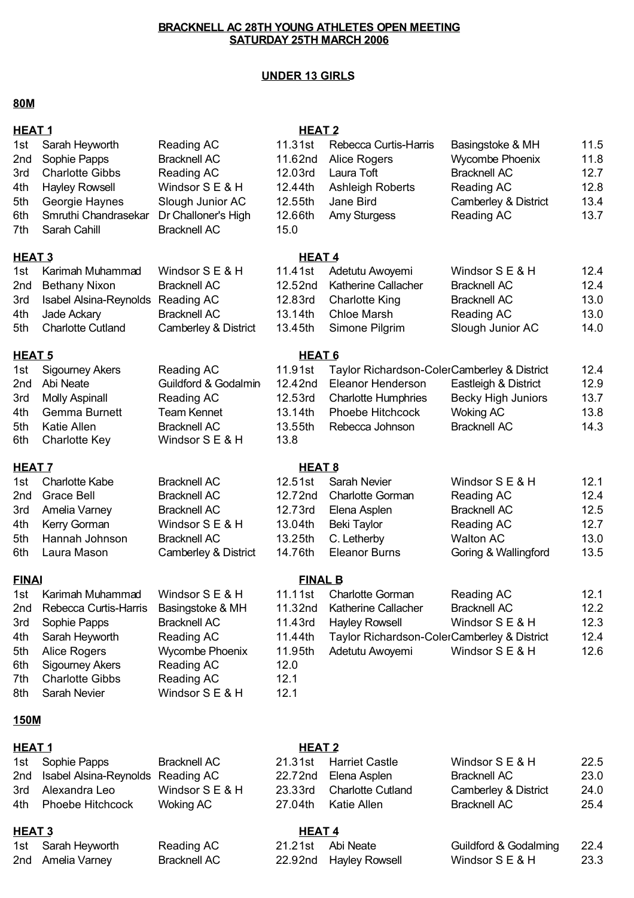#### **UNDER 13 GIRLS**

### **80M**

| <b>HEAT1</b>      |                               |                      | <b>HEAT 2</b>  |                                             |                           |      |
|-------------------|-------------------------------|----------------------|----------------|---------------------------------------------|---------------------------|------|
| 1st               | Sarah Heyworth                | Reading AC           | 11.31st        | Rebecca Curtis-Harris                       | Basingstoke & MH          | 11.5 |
| 2 <sub>nd</sub>   | Sophie Papps                  | <b>Bracknell AC</b>  | 11.62nd        | Alice Rogers                                | Wycombe Phoenix           | 11.8 |
| 3rd               | <b>Charlotte Gibbs</b>        | Reading AC           | 12.03rd        | Laura Toft                                  | <b>Bracknell AC</b>       | 12.7 |
| 4th               | <b>Hayley Rowsell</b>         | Windsor S E & H      | 12.44th        | <b>Ashleigh Roberts</b>                     | Reading AC                | 12.8 |
| 5th               | Georgie Haynes                | Slough Junior AC     | 12.55th        | Jane Bird                                   | Camberley & District      | 13.4 |
| 6th               | Smruthi Chandrasekar          | Dr Challoner's High  | 12.66th        | Amy Sturgess                                | Reading AC                | 13.7 |
| 7th               | Sarah Cahill                  | <b>Bracknell AC</b>  | 15.0           |                                             |                           |      |
| HEAT <sub>3</sub> |                               |                      | <b>HEAT4</b>   |                                             |                           |      |
| 1st               | Karimah Muhammad              | Windsor S E & H      | 11.41st        | Adetutu Awoyemi                             | Windsor S E & H           | 12.4 |
| 2 <sub>nd</sub>   | <b>Bethany Nixon</b>          | <b>Bracknell AC</b>  | 12.52nd        | <b>Katherine Callacher</b>                  | <b>Bracknell AC</b>       | 12.4 |
| 3rd               | <b>Isabel Alsina-Reynolds</b> | Reading AC           | 12.83rd        | <b>Charlotte King</b>                       | <b>Bracknell AC</b>       | 13.0 |
| 4th               | Jade Ackary                   | <b>Bracknell AC</b>  | 13.14th        | <b>Chloe Marsh</b>                          | Reading AC                | 13.0 |
| 5th               | <b>Charlotte Cutland</b>      | Camberley & District | 13.45th        | Simone Pilgrim                              | Slough Junior AC          | 14.0 |
| HEAT <sub>5</sub> |                               |                      | <b>HEAT 6</b>  |                                             |                           |      |
| 1st               | <b>Sigourney Akers</b>        | Reading AC           | 11.91st        | Taylor Richardson-ColerCamberley & District |                           | 12.4 |
| 2nd               | Abi Neate                     | Guildford & Godalmin | 12.42nd        | Eleanor Henderson                           | Eastleigh & District      | 12.9 |
| 3rd               | <b>Molly Aspinall</b>         | Reading AC           | 12.53rd        | <b>Charlotte Humphries</b>                  | <b>Becky High Juniors</b> | 13.7 |
| 4th               | <b>Gemma Burnett</b>          | <b>Team Kennet</b>   | 13.14th        | Phoebe Hitchcock                            | <b>Woking AC</b>          | 13.8 |
| 5th               | <b>Katie Allen</b>            | <b>Bracknell AC</b>  | 13.55th        | Rebecca Johnson                             | <b>Bracknell AC</b>       | 14.3 |
| 6th               | <b>Charlotte Key</b>          | Windsor S E & H      | 13.8           |                                             |                           |      |
| <b>HEAT 7</b>     |                               |                      | <b>HEAT 8</b>  |                                             |                           |      |
| 1st               | <b>Charlotte Kabe</b>         | <b>Bracknell AC</b>  | 12.51st        | Sarah Nevier                                | Windsor S E & H           | 12.1 |
| 2 <sub>nd</sub>   | <b>Grace Bell</b>             | <b>Bracknell AC</b>  | 12.72nd        | <b>Charlotte Gorman</b>                     | Reading AC                | 12.4 |
| 3rd               | Amelia Varney                 | <b>Bracknell AC</b>  | 12.73rd        | Elena Asplen                                | <b>Bracknell AC</b>       | 12.5 |
| 4th               | Kerry Gorman                  | Windsor S E & H      | 13.04th        | <b>Beki Taylor</b>                          | Reading AC                | 12.7 |
| 5th               | Hannah Johnson                | <b>Bracknell AC</b>  | 13.25th        | C. Letherby                                 | <b>Walton AC</b>          | 13.0 |
| 6th               | Laura Mason                   | Camberley & District | 14.76th        | <b>Eleanor Burns</b>                        | Goring & Wallingford      | 13.5 |
| <b>FINAI</b>      |                               |                      | <b>FINAL B</b> |                                             |                           |      |
| 1st               | Karimah Muhammad              | Windsor S E & H      | 11.11st        | <b>Charlotte Gorman</b>                     | Reading AC                | 12.1 |
| 2nd               | Rebecca Curtis-Harris         | Basingstoke & MH     | 11.32nd        | <b>Katherine Callacher</b>                  | <b>Bracknell AC</b>       | 12.2 |
| 3rd               | Sophie Papps                  | <b>Bracknell AC</b>  | 11.43rd        | <b>Hayley Rowsell</b>                       | Windsor S E & H           | 12.3 |
| 4th               | Sarah Heyworth                | Reading AC           | 11.44th        | Taylor Richardson-ColerCamberley & District |                           | 12.4 |
| 5th               | Alice Rogers                  | Wycombe Phoenix      | 11.95th        | Adetutu Awoyemi                             | Windsor S E & H           | 12.6 |
| 6th               | <b>Sigourney Akers</b>        | Reading AC           | 12.0           |                                             |                           |      |
| 7th               | <b>Charlotte Gibbs</b>        | Reading AC           | 12.1           |                                             |                           |      |
| 8th               | Sarah Nevier                  | Windsor S E & H      | 12.1           |                                             |                           |      |
| <b>150M</b>       |                               |                      |                |                                             |                           |      |

#### **HEAT 1 HEAT 2**

| 1st Sophie Papps                      | Bracknell AC    |         | 21.31st Harriet Castle    | Windsor S E & H      | 22.5 |
|---------------------------------------|-----------------|---------|---------------------------|----------------------|------|
| 2nd Isabel Alsina-Reynolds Reading AC |                 | 22.72nd | Elena Asplen              | Bracknell AC         | 23.0 |
| 3rd Alexandra Leo                     | Windsor S E & H |         | 23.33rd Charlotte Cutland | Camberley & District | 24.0 |
| 4th Phoebe Hitchcock                  | Woking AC       | 27.04th | Katie Allen               | Bracknell AC         | 25.4 |

## **HEAT 3 HEAT 4**

| 1st Sarah Heyworth | Reading AC   | 21.21st Abi Neate      | Guildford & Godalming 22.4 |      |
|--------------------|--------------|------------------------|----------------------------|------|
| 2nd Amelia Varney  | Bracknell AC | 22.92nd Hayley Rowsell | Windsor S E & H            | 23.3 |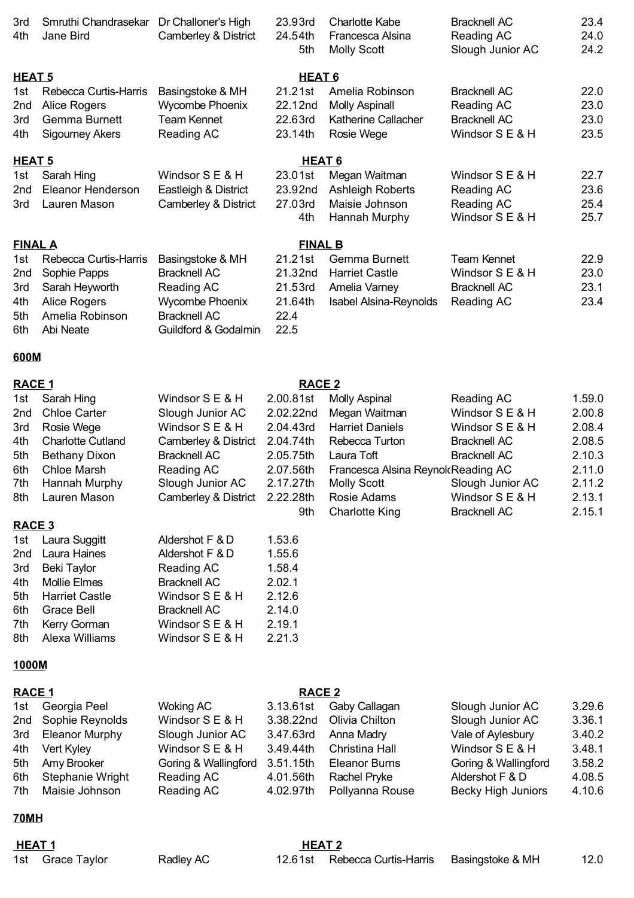| 3rd<br>4th        | Smruthi Chandrasekar<br>Jane Bird            | Dr Challoner's High<br>Camberley & District                    | 23.93rd<br>24.54th<br>5th | <b>Charlotte Kabe</b><br>Francesca Alsina<br><b>Molly Scott</b> | <b>Bracknell AC</b><br>Reading AC<br>Slough Junior AC | 23.4<br>24.0<br>24.2 |
|-------------------|----------------------------------------------|----------------------------------------------------------------|---------------------------|-----------------------------------------------------------------|-------------------------------------------------------|----------------------|
| HEAT <sub>5</sub> |                                              |                                                                | HEAT <sub>6</sub>         |                                                                 |                                                       |                      |
| 1st               | Rebecca Curtis-Harris                        | Basingstoke & MH                                               | 21.21st                   | Amelia Robinson                                                 | <b>Bracknell AC</b>                                   | 22.0                 |
| 2nd               | Alice Rogers                                 | Wycombe Phoenix                                                | 22.12nd                   | <b>Molly Aspinall</b>                                           | Reading AC                                            | 23.0                 |
| 3rd               | <b>Gemma Burnett</b>                         | Team Kennet                                                    | 22.63rd                   | Katherine Callacher                                             | <b>Bracknell AC</b>                                   | 23.0                 |
| 4th               | <b>Sigourney Akers</b>                       | Reading AC                                                     | 23.14th                   | Rosie Wege                                                      | Windsor S E & H                                       | 23.5                 |
| <b>HEAT 5</b>     |                                              |                                                                | <b>HEAT 6</b>             |                                                                 |                                                       |                      |
| 1st               | Sarah Hing                                   | Windsor S E & H                                                | 23.01st                   | Megan Waitman                                                   | Windsor S E & H                                       | 22.7                 |
| 2nd               | Eleanor Henderson                            | Eastleigh & District                                           | 23.92nd                   | <b>Ashleigh Roberts</b>                                         | Reading AC                                            | 23.6                 |
| 3rd               | Lauren Mason                                 | Camberley & District                                           | 27.03rd                   | Maisie Johnson                                                  | Reading AC                                            | 25.4                 |
|                   |                                              |                                                                | 4th                       | Hannah Murphy                                                   | Windsor S E & H                                       | 25.7                 |
| <b>FINAL A</b>    |                                              |                                                                | <b>FINAL B</b>            |                                                                 |                                                       |                      |
| 1st               | Rebecca Curtis-Harris                        | Basingstoke & MH                                               | 21.21st                   | Gemma Burnett                                                   | <b>Team Kennet</b>                                    | 22.9                 |
| 2nd               | Sophie Papps                                 | <b>Bracknell AC</b>                                            | 21.32nd                   | <b>Harriet Castle</b>                                           | Windsor S E & H                                       | 23.0                 |
| 3rd               | Sarah Heyworth                               | Reading AC                                                     | 21.53rd                   | Amelia Varney                                                   | <b>Bracknell AC</b>                                   | 23.1                 |
| 4th<br>5th<br>6th | Alice Rogers<br>Amelia Robinson<br>Abi Neate | Wycombe Phoenix<br><b>Bracknell AC</b><br>Guildford & Godalmin | 21.64th<br>22.4<br>22.5   | <b>Isabel Alsina-Reynolds</b>                                   | Reading AC                                            | 23.4                 |

#### **600M**

#### **RACE 1 RACE 2** 1st Windsor S E & H 2.00.81st Reading AC 1.59.0 Sarah Hing Molly Aspinal 2nd Chloe Carter Slough Junior AC 2.02.22nd Megan Waitman Windsor S E & H 2.00.8 3rd Windsor S E & H 2.04.43rd Harriet Daniels Windsor S E & H 2.08.4 4th Charlotte Cutland Camberley & District 2.04.74th Rebecca Turton Bracknell AC 2.08.5 5th Bethany Dixon Bracknell AC 2.05.75th Laura Toft Bracknell AC 2.10.3 6th Chloe Marsh **Reading AC** 2.07.56th Francesca Alsina Reynold Reading AC 2.11.0 7th Hannah Murphy Slough Junior AC 2.17.27th Molly Scott Slough Junior AC 2.11.2 8th Lauren Mason Camberley & District 2.22.28th Rosie Adams Windsor S E & H 2.13.1 9th Charlotte King Bracknell AC 2.15.1 **RACE 3** Megan Waitman Rosie Wege Bracknell AC Bracknell AC

|     | 1st Laura Suggitt     | Aldershot F & D     | 1.53.6 |
|-----|-----------------------|---------------------|--------|
|     | 2nd Laura Haines      | Aldershot F & D     | 1.55.6 |
| 3rd | Beki Taylor           | Reading AC          | 1.58.4 |
|     | 4th Mollie Elmes      | <b>Bracknell AC</b> | 2.02.1 |
| 5th | <b>Harriet Castle</b> | Windsor S E & H     | 2.12.6 |
| 6th | <b>Grace Bell</b>     | <b>Bracknell AC</b> | 2.14.0 |
| 7th | Kerry Gorman          | Windsor S E & H     | 2.19.1 |
| 8th | Alexa Williams        | Windsor S E & H     | 2.21.3 |

#### **1000M**

#### **RACE 1 RACE 2**

| 1st Georgia Peel     | Woking AC            | 3.13.61st | Gaby Callagan            | Slough Junior AC     | 3.29.6 |
|----------------------|----------------------|-----------|--------------------------|----------------------|--------|
| 2nd Sophie Reynolds  | Windsor S E & H      |           | 3.38.22nd Olivia Chilton | Slough Junior AC     | 3.36.1 |
| 3rd Eleanor Murphy   | Slough Junior AC     |           | 3.47.63rd Anna Madry     | Vale of Aylesbury    | 3.40.2 |
| 4th Vert Kyley       | Windsor S E & H      | 3.49.44th | Christina Hall           | Windsor S E & H      | 3.48.1 |
| 5th Amy Brooker      | Goring & Wallingford | 3.51.15th | <b>Eleanor Burns</b>     | Goring & Wallingford | 3.58.2 |
| 6th Stephanie Wright | Reading AC           | 4.01.56th | Rachel Pryke             | Aldershot F & D      | 4.08.5 |
| 7th Maisie Johnson   | Reading AC           | 4.02.97th | Pollyanna Rouse          | Becky High Juniors   | 4.10.6 |
|                      |                      |           |                          |                      |        |

#### **70MH**

| <b>HEAT1</b> |                  |           | <b>HEAT 2</b> |                                                |  |      |
|--------------|------------------|-----------|---------------|------------------------------------------------|--|------|
|              | 1st Grace Taylor | Radley AC |               | 12.61st Rebecca Curtis-Harris Basingstoke & MH |  | 12.0 |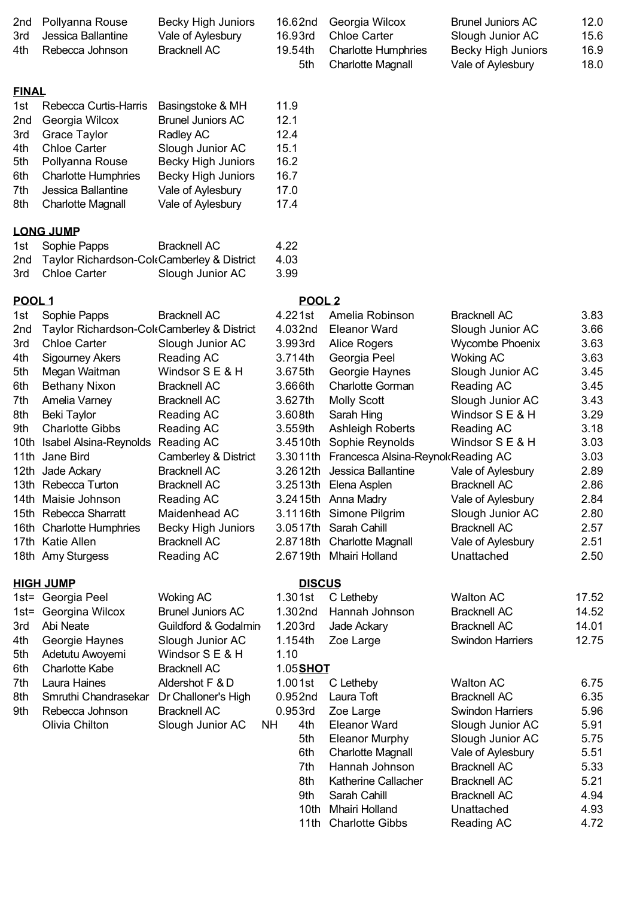| 2nd<br>3rd<br>4th | Pollyanna Rouse<br>Jessica Ballantine<br>Rebecca Johnson | <b>Becky High Juniors</b><br>Vale of Aylesbury<br><b>Bracknell AC</b> | 16.62nd<br>16.93rd<br>19.54th<br>5th | Georgia Wilcox<br><b>Chloe Carter</b><br><b>Charlotte Humphries</b><br><b>Charlotte Magnall</b> | <b>Brunel Juniors AC</b><br>Slough Junior AC<br><b>Becky High Juniors</b><br>Vale of Aylesbury | 12.0<br>15.6<br>16.9<br>18.0 |
|-------------------|----------------------------------------------------------|-----------------------------------------------------------------------|--------------------------------------|-------------------------------------------------------------------------------------------------|------------------------------------------------------------------------------------------------|------------------------------|
| <b>FINAL</b>      |                                                          |                                                                       |                                      |                                                                                                 |                                                                                                |                              |
| 1st               | Rebecca Curtis-Harris                                    | Basingstoke & MH                                                      | 11.9                                 |                                                                                                 |                                                                                                |                              |
| 2nd               | Georgia Wilcox                                           | <b>Brunel Juniors AC</b>                                              | 12.1                                 |                                                                                                 |                                                                                                |                              |
| 3rd               | <b>Grace Taylor</b>                                      | Radley AC                                                             | 12.4                                 |                                                                                                 |                                                                                                |                              |
| 4th               | <b>Chloe Carter</b>                                      | Slough Junior AC                                                      | 15.1                                 |                                                                                                 |                                                                                                |                              |
| 5th               | Pollyanna Rouse                                          | <b>Becky High Juniors</b>                                             | 16.2                                 |                                                                                                 |                                                                                                |                              |
| 6th               | <b>Charlotte Humphries</b>                               | <b>Becky High Juniors</b>                                             | 16.7                                 |                                                                                                 |                                                                                                |                              |
| 7th               | Jessica Ballantine                                       | Vale of Aylesbury                                                     | 17.0                                 |                                                                                                 |                                                                                                |                              |
| 8th               | <b>Charlotte Magnall</b>                                 | Vale of Aylesbury                                                     | 17.4                                 |                                                                                                 |                                                                                                |                              |
|                   | <b>LONG JUMP</b>                                         |                                                                       |                                      |                                                                                                 |                                                                                                |                              |
| 1st               | Sophie Papps                                             | <b>Bracknell AC</b>                                                   | 4.22                                 |                                                                                                 |                                                                                                |                              |
| 2nd               | Taylor Richardson-ColeCamberley & District               |                                                                       | 4.03                                 |                                                                                                 |                                                                                                |                              |
| 3rd               | <b>Chloe Carter</b>                                      | Slough Junior AC                                                      | 3.99                                 |                                                                                                 |                                                                                                |                              |
| POOL 1            |                                                          |                                                                       | POOL <sub>2</sub>                    |                                                                                                 |                                                                                                |                              |
| 1st               | Sophie Papps                                             | <b>Bracknell AC</b>                                                   | 4.221st                              | Amelia Robinson                                                                                 | <b>Bracknell AC</b>                                                                            | 3.83                         |
| 2nd               | Taylor Richardson-ColeCamberley & District               |                                                                       | 4.032nd                              | <b>Eleanor Ward</b>                                                                             | Slough Junior AC                                                                               | 3.66                         |
| 3rd               | <b>Chloe Carter</b>                                      | Slough Junior AC                                                      | 3.993rd                              | Alice Rogers                                                                                    | Wycombe Phoenix                                                                                | 3.63                         |
| 4th               | <b>Sigourney Akers</b>                                   | Reading AC                                                            | 3.714th                              | Georgia Peel                                                                                    | <b>Woking AC</b>                                                                               | 3.63                         |
| 5th               | Megan Waitman                                            | Windsor S E & H                                                       | 3.675th                              | Georgie Haynes                                                                                  | Slough Junior AC                                                                               | 3.45                         |
| 6th               | <b>Bethany Nixon</b>                                     | <b>Bracknell AC</b>                                                   | 3.666th                              | <b>Charlotte Gorman</b>                                                                         | Reading AC                                                                                     | 3.45                         |
| 7th               | Amelia Varney                                            | <b>Bracknell AC</b>                                                   | 3.627th                              | <b>Molly Scott</b>                                                                              | Slough Junior AC                                                                               | 3.43                         |
| 8th               | <b>Beki Taylor</b>                                       | Reading AC                                                            | 3.608th                              | Sarah Hing                                                                                      | Windsor S E & H                                                                                | 3.29                         |
| 9th               | <b>Charlotte Gibbs</b>                                   | <b>Reading AC</b>                                                     | 3.559th                              | <b>Ashleigh Roberts</b>                                                                         | Reading AC                                                                                     | 3.18                         |
| 10th              | Isabel Alsina-Reynolds                                   | Reading AC                                                            | 3.4510th                             | Sophie Reynolds                                                                                 | Windsor S E & H                                                                                | 3.03                         |
| 11th              | Jane Bird                                                | Camberley & District                                                  |                                      | 3.3011th Francesca Alsina-Reynol Reading AC                                                     |                                                                                                | 3.03                         |
|                   | 12th Jade Ackary                                         | <b>Bracknell AC</b>                                                   |                                      | 3.2612th Jessica Ballantine                                                                     | Vale of Aylesbury                                                                              | 2.89                         |
|                   | 13th Rebecca Turton                                      | <b>Bracknell AC</b>                                                   |                                      | 3.2513th Elena Asplen                                                                           | <b>Bracknell AC</b>                                                                            | 2.86                         |
|                   | 14th Maisie Johnson                                      | Reading AC                                                            |                                      | 3.2415th Anna Madry                                                                             | Vale of Aylesbury                                                                              | 2.84                         |
|                   | 15th Rebecca Sharratt                                    | Maidenhead AC                                                         |                                      | 3.1116th Simone Pilgrim                                                                         | Slough Junior AC                                                                               | 2.80                         |
|                   | 16th Charlotte Humphries                                 | <b>Becky High Juniors</b>                                             |                                      | 3.0517th Sarah Cahill                                                                           | <b>Bracknell AC</b>                                                                            | 2.57                         |
|                   | 17th Katie Allen                                         | <b>Bracknell AC</b>                                                   |                                      | 2.8718th Charlotte Magnall                                                                      | Vale of Aylesbury                                                                              | 2.51                         |
|                   | 18th Amy Sturgess                                        | Reading AC                                                            |                                      | 2.6719th Mhairi Holland                                                                         | Unattached                                                                                     | 2.50                         |
|                   | <b>HIGH JUMP</b>                                         |                                                                       | <b>DISCUS</b>                        |                                                                                                 |                                                                                                |                              |
|                   | 1st= Georgia Peel                                        | <b>Woking AC</b>                                                      | $1.301$ st                           | C Letheby                                                                                       | <b>Walton AC</b>                                                                               | 17.52                        |
|                   | 1st= Georgina Wilcox                                     | <b>Brunel Juniors AC</b>                                              | 1.302nd                              | Hannah Johnson                                                                                  | <b>Bracknell AC</b>                                                                            | 14.52                        |
| 3rd               | Abi Neate                                                | Guildford & Godalmin                                                  | 1.203rd                              | Jade Ackary                                                                                     | <b>Bracknell AC</b>                                                                            | 14.01                        |
| 4th               | Georgie Haynes                                           | Slough Junior AC                                                      | 1.154th                              | Zoe Large                                                                                       | <b>Swindon Harriers</b>                                                                        | 12.75                        |
| 5th               | Adetutu Awoyemi                                          | Windsor S E & H                                                       | 1.10                                 |                                                                                                 |                                                                                                |                              |
| 6th               | <b>Charlotte Kabe</b>                                    | <b>Bracknell AC</b>                                                   | 1.05 <b>SHOT</b>                     |                                                                                                 |                                                                                                |                              |
| 7th               | Laura Haines                                             | Aldershot F & D                                                       | 1.001st                              | C Letheby                                                                                       | <b>Walton AC</b>                                                                               | 6.75                         |
| 8th               | Smruthi Chandrasekar                                     | Dr Challoner's High                                                   | 0.952nd                              | Laura Toft                                                                                      | <b>Bracknell AC</b>                                                                            | 6.35                         |
| 9th               | Rebecca Johnson                                          | <b>Bracknell AC</b>                                                   | 0.953rd                              | Zoe Large                                                                                       | Swindon Harriers                                                                               | 5.96                         |
|                   | Olivia Chilton                                           | Slough Junior AC<br>NH                                                | 4th                                  | <b>Eleanor Ward</b>                                                                             | Slough Junior AC                                                                               | 5.91                         |
|                   |                                                          |                                                                       | 5th                                  | <b>Eleanor Murphy</b>                                                                           | Slough Junior AC                                                                               | 5.75                         |
|                   |                                                          |                                                                       | 6th                                  | <b>Charlotte Magnall</b>                                                                        | Vale of Aylesbury                                                                              | 5.51                         |
|                   |                                                          |                                                                       | 7th                                  | Hannah Johnson                                                                                  | <b>Bracknell AC</b>                                                                            | 5.33                         |
|                   |                                                          |                                                                       | 8th                                  | Katherine Callacher                                                                             | <b>Bracknell AC</b>                                                                            | 5.21                         |
|                   |                                                          |                                                                       | 9th                                  | Sarah Cahill<br>10th Mhairi Holland                                                             | <b>Bracknell AC</b><br>Unattached                                                              | 4.94<br>4.93                 |
|                   |                                                          |                                                                       |                                      |                                                                                                 |                                                                                                |                              |

11th Charlotte Gibbs Reading AC 4.72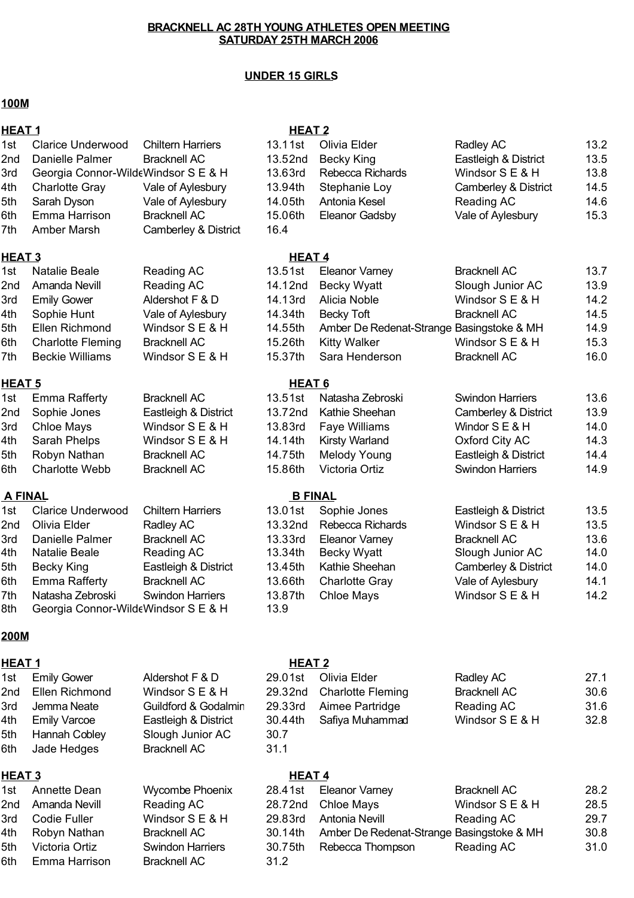## **UNDER 15 GIRLS**

#### **100M**

| <b>HEAT1</b>  |                                     |                          | <b>HEAT2</b>      |                                           |                                 |      |
|---------------|-------------------------------------|--------------------------|-------------------|-------------------------------------------|---------------------------------|------|
| 1st           | <b>Clarice Underwood</b>            | <b>Chiltern Harriers</b> | 13.11st           | Olivia Elder                              | Radley AC                       | 13.2 |
| 2nd           | Danielle Palmer                     | <b>Bracknell AC</b>      | 13.52nd           | <b>Becky King</b>                         | Eastleigh & District            | 13.5 |
| 3rd           | Georgia Connor-WildeWindsor S E & H |                          | 13.63rd           | Rebecca Richards                          | Windsor S E & H                 | 13.8 |
| 4th           | <b>Charlotte Gray</b>               | Vale of Aylesbury        | 13.94th           | Stephanie Loy                             | Camberley & District            | 14.5 |
| 5th           | Sarah Dyson                         | Vale of Aylesbury        | 14.05th           | Antonia Kesel                             | Reading AC                      | 14.6 |
| 6th           | Emma Harrison                       | <b>Bracknell AC</b>      | 15.06th           | <b>Eleanor Gadsby</b>                     | Vale of Aylesbury               | 15.3 |
| 7th           | Amber Marsh                         | Camberley & District     | 16.4              |                                           |                                 |      |
| <b>HEAT 3</b> |                                     |                          | <b>HEAT4</b>      |                                           |                                 |      |
| 1st           | <b>Natalie Beale</b>                | Reading AC               | 13.51st           | <b>Eleanor Varney</b>                     | <b>Bracknell AC</b>             | 13.7 |
| 2nd           | Amanda Nevill                       | Reading AC               | 14.12nd           | <b>Becky Wyatt</b>                        | Slough Junior AC                | 13.9 |
| 3rd           | <b>Emily Gower</b>                  | Aldershot F & D          | 14.13rd           | Alicia Noble                              | Windsor S E & H                 | 14.2 |
| 4th           | Sophie Hunt                         | Vale of Aylesbury        | 14.34th           | <b>Becky Toft</b>                         | <b>Bracknell AC</b>             | 14.5 |
| 5th           | Ellen Richmond                      | Windsor S E & H          | 14.55th           | Amber De Redenat-Strange Basingstoke & MH |                                 | 14.9 |
| 6th           | <b>Charlotte Fleming</b>            | <b>Bracknell AC</b>      | 15.26th           | <b>Kitty Walker</b>                       | Windsor S E & H                 | 15.3 |
| 7th           | <b>Beckie Williams</b>              | Windsor S E & H          | 15.37th           | Sara Henderson                            | <b>Bracknell AC</b>             | 16.0 |
| <b>HEAT 5</b> |                                     |                          | HEAT <sub>6</sub> |                                           |                                 |      |
| 1st           | <b>Emma Rafferty</b>                | <b>Bracknell AC</b>      | 13.51st           | Natasha Zebroski                          | <b>Swindon Harriers</b>         | 13.6 |
| 2nd           | Sophie Jones                        | Eastleigh & District     | 13.72nd           | Kathie Sheehan                            | Camberley & District            | 13.9 |
| 3rd           | <b>Chloe Mays</b>                   | Windsor S E & H          | 13.83rd           | <b>Faye Williams</b>                      | Windor S E & H                  | 14.0 |
| 4th           | Sarah Phelps                        | Windsor S E & H          | 14.14th           | <b>Kirsty Warland</b>                     | Oxford City AC                  | 14.3 |
| 5th           | Robyn Nathan                        | <b>Bracknell AC</b>      | 14.75th           | <b>Melody Young</b>                       | Eastleigh & District            | 14.4 |
| 6th           | <b>Charlotte Webb</b>               | <b>Bracknell AC</b>      | 15.86th           | Victoria Ortiz                            | <b>Swindon Harriers</b>         | 14.9 |
|               | <b>A FINAL</b>                      |                          | <b>B FINAL</b>    |                                           |                                 |      |
| 1st           | <b>Clarice Underwood</b>            | <b>Chiltern Harriers</b> | 13.01st           | Sophie Jones                              | Eastleigh & District            | 13.5 |
| 2nd           | Olivia Elder                        | Radley AC                | 13.32nd           | Rebecca Richards                          | Windsor S E & H                 | 13.5 |
| 3rd           | Danielle Palmer                     | <b>Bracknell AC</b>      | 13.33rd           | <b>Eleanor Varney</b>                     | <b>Bracknell AC</b>             | 13.6 |
| 4th           | <b>Natalie Beale</b>                | <b>Reading AC</b>        | 13.34th           | <b>Becky Wyatt</b>                        | Slough Junior AC                | 14.0 |
| 5th           | <b>Becky King</b>                   | Eastleigh & District     | 13.45th           | Kathie Sheehan                            | <b>Camberley &amp; District</b> | 14.0 |
| 6th           | <b>Emma Rafferty</b>                | <b>Bracknell AC</b>      | 13.66th           | <b>Charlotte Gray</b>                     | Vale of Aylesbury               | 14.1 |
| 7th           | Natasha Zebroski                    | <b>Swindon Harriers</b>  | 13.87th           | <b>Chloe Mays</b>                         | Windsor S E & H                 | 14.2 |
| 8th           | Georgia Connor-WildeWindsor S E & H |                          | 13.9              |                                           |                                 |      |
| 200M          |                                     |                          |                   |                                           |                                 |      |
| <b>HEAT1</b>  |                                     |                          | <b>HEAT 2</b>     |                                           |                                 |      |
| 1st           | <b>Emily Gower</b>                  | Aldershot F & D          | 29.01st           | Olivia Elder                              | Radley AC                       | 27.1 |
| 2nd           | Ellen Richmond                      | Windsor S E & H          | 29.32nd           | <b>Charlotte Fleming</b>                  | <b>Bracknell AC</b>             | 30.6 |
| 3rd           | Jemma Neate                         | Guildford & Godalmin     | 29.33rd           | Aimee Partridge                           | Reading AC                      | 31.6 |
| 4th           | <b>Emily Varcoe</b>                 | Eastleigh & District     | 30.44th           | Safiya Muhammad                           | Windsor S E & H                 | 32.8 |
| 5th           | Hannah Cobley                       | Slough Junior AC         | 30.7              |                                           |                                 |      |
| 6th           | Jade Hedges                         | <b>Bracknell AC</b>      | 31.1              |                                           |                                 |      |
| <b>HEAT 3</b> |                                     |                          | <b>HEAT4</b>      |                                           |                                 |      |
| 1st           | Annette Dean                        | <b>Wycombe Phoenix</b>   | 28.41st           | <b>Eleanor Varney</b>                     | <b>Bracknell AC</b>             | 28.2 |
| 2nd           | Amanda Nevill                       | Reading AC               | 28.72nd           | <b>Chloe Mays</b>                         | Windsor S E & H                 | 28.5 |
| 3rd           | Codie Fuller                        | Windsor S E & H          | 29.83rd           | <b>Antonia Nevill</b>                     | Reading AC                      | 29.7 |
| 4th           | Robyn Nathan                        | <b>Bracknell AC</b>      | 30.14th           | Amber De Redenat-Strange Basingstoke & MH |                                 | 30.8 |
| 5th           | Victoria Ortiz                      | <b>Swindon Harriers</b>  | 30.75th           | Rebecca Thompson                          | Reading AC                      | 31.0 |
| 6th           | Emma Harrison                       | <b>Bracknell AC</b>      | 31.2              |                                           |                                 |      |
|               |                                     |                          |                   |                                           |                                 |      |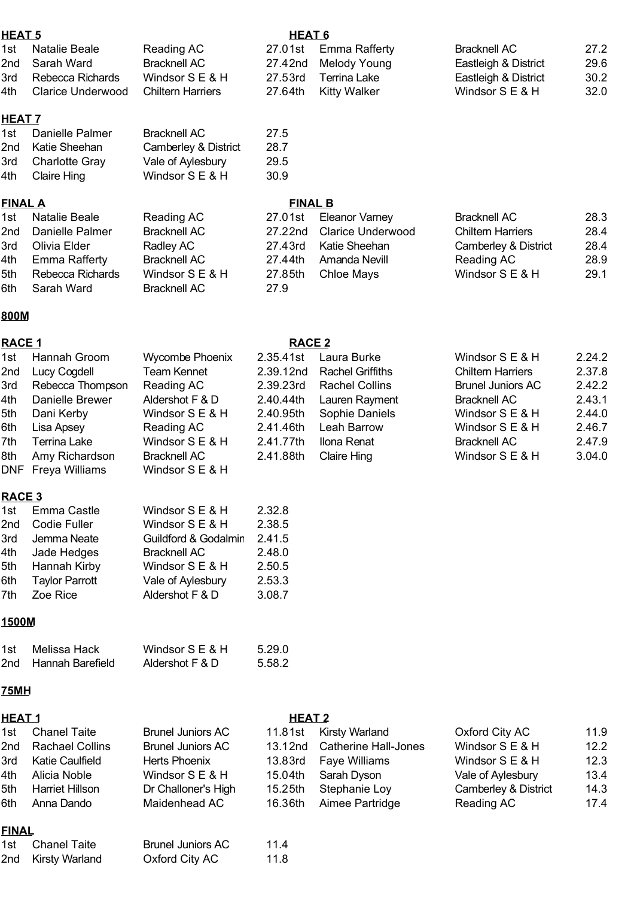#### **HEAT 5 HEAT 6**

| 1st Natalie Beale     | Reading AC               | 27.01st Emma Rafferty | <b>Bracknell AC</b>  | 27.2 |
|-----------------------|--------------------------|-----------------------|----------------------|------|
| 2nd Sarah Ward        | <b>Bracknell AC</b>      | 27.42nd Melody Young  | Eastleigh & District | 29.6 |
| 3rd Rebecca Richards  | Windsor $S \to \& H$     | 27.53rd Terrina Lake  | Eastleigh & District | 30.2 |
| 4th Clarice Underwood | <b>Chiltern Harriers</b> | 27.64th Kitty Walker  | Windsor S E & H      | 32.0 |

#### **HEAT 7**

|     | 1st Danielle Palmer | <b>Bracknell AC</b>  | 27.5 |
|-----|---------------------|----------------------|------|
|     | 2nd Katie Sheehan   | Camberley & District | 28.7 |
|     | 3rd Charlotte Gray  | Vale of Aylesbury    | 29.5 |
| 4th | <b>Claire Hing</b>  | Windsor S E & H      | 30.9 |

#### **FINAL A FINAL B**

| 1st Natalie Beale<br>2nd Danielle Palmer<br>3rd Olivia Elder<br>4th Emma Rafferty<br>5th Rebecca Richards<br>6th Sarah Ward | Reading AC<br><b>Bracknell AC</b><br>Radley AC<br><b>Bracknell AC</b><br>Windsor $S \to \& H$<br><b>Bracknell AC</b> | 27.9 | 27.01st Eleanor Varney<br>27.22nd Clarice Underwood<br>27.43rd Katie Sheehan<br>27.44th Amanda Nevill<br>27.85th Chloe Mays | <b>Bracknell AC</b><br><b>Chiltern Harriers</b><br><b>Camberley &amp; District</b><br>Reading AC<br>Windsor S E & H | 28.3<br>28.4<br>28.4<br>28.9<br>29.1 |
|-----------------------------------------------------------------------------------------------------------------------------|----------------------------------------------------------------------------------------------------------------------|------|-----------------------------------------------------------------------------------------------------------------------------|---------------------------------------------------------------------------------------------------------------------|--------------------------------------|
|                                                                                                                             |                                                                                                                      |      |                                                                                                                             |                                                                                                                     |                                      |

#### **800M**

#### **RACE 1 RACE 2**

| 1st           | Hannah Groom           | <b>Wycombe Phoenix</b>   | 2.35.41st     | Laura Burke                 | Windsor S E & H          | 2.24.2 |
|---------------|------------------------|--------------------------|---------------|-----------------------------|--------------------------|--------|
| 2nd           | Lucy Cogdell           | <b>Team Kennet</b>       | 2.39.12nd     | <b>Rachel Griffiths</b>     | <b>Chiltern Harriers</b> | 2.37.8 |
| 3rd           | Rebecca Thompson       | Reading AC               | 2.39.23rd     | <b>Rachel Collins</b>       | <b>Brunel Juniors AC</b> | 2.42.2 |
| 4th           | Danielle Brewer        | Aldershot F & D          | 2.40.44th     | Lauren Rayment              | <b>Bracknell AC</b>      | 2.43.1 |
| 5th           | Dani Kerby             | Windsor S E & H          | 2.40.95th     | Sophie Daniels              | Windsor S E & H          | 2.44.0 |
| 6th           | Lisa Apsey             | Reading AC               | 2.41.46th     | Leah Barrow                 | Windsor S E & H          | 2.46.7 |
| 7th           | <b>Terrina Lake</b>    | Windsor S E & H          | 2.41.77th     | Ilona Renat                 | <b>Bracknell AC</b>      | 2.47.9 |
| 8th           | Amy Richardson         | <b>Bracknell AC</b>      | 2.41.88th     | <b>Claire Hing</b>          | Windsor S E & H          | 3.04.0 |
| <b>DNF</b>    | Freya Williams         | Windsor S E & H          |               |                             |                          |        |
| <b>RACE 3</b> |                        |                          |               |                             |                          |        |
| 1st           | Emma Castle            | Windsor S E & H          | 2.32.8        |                             |                          |        |
| 2nd           | Codie Fuller           | Windsor S E & H          | 2.38.5        |                             |                          |        |
| 3rd           | Jemma Neate            | Guildford & Godalmin     | 2.41.5        |                             |                          |        |
| 4th           | Jade Hedges            | <b>Bracknell AC</b>      | 2.48.0        |                             |                          |        |
| 5th           | Hannah Kirby           | Windsor S E & H          | 2.50.5        |                             |                          |        |
| 6th           | <b>Taylor Parrott</b>  | Vale of Aylesbury        | 2.53.3        |                             |                          |        |
| 7th           | Zoe Rice               | Aldershot F & D          | 3.08.7        |                             |                          |        |
| 1500M         |                        |                          |               |                             |                          |        |
| 1st           | Melissa Hack           | Windsor S E & H          | 5.29.0        |                             |                          |        |
| 2nd           | Hannah Barefield       | Aldershot F & D          | 5.58.2        |                             |                          |        |
| <b>75MH</b>   |                        |                          |               |                             |                          |        |
| <b>HEAT1</b>  |                        |                          | <b>HEAT 2</b> |                             |                          |        |
| 1st           | <b>Chanel Taite</b>    | <b>Brunel Juniors AC</b> | 11.81st       | Kirsty Warland              | Oxford City AC           | 11.9   |
| 2nd           | <b>Rachael Collins</b> | <b>Brunel Juniors AC</b> | 13.12nd       | <b>Catherine Hall-Jones</b> | Windsor S E & H          | 12.2   |
| 3rd           | <b>Katie Caulfield</b> | <b>Herts Phoenix</b>     | 13.83rd       | Faye Williams               | Windsor S E & H          | 12.3   |
| 4th           | Alicia Noble           | Windsor S E & H          | 15.04th       | Sarah Dyson                 | Vale of Aylesbury        | 13.4   |

5th Harriet Hillson Dr Challoner's High 15.25th Stephanie Loy Camberley & District 14.3 Maidenhead AC 16.36th Aimee Partridge Reading AC 17.4

## **FINAL**

6th Anna Dando

| 1st Chanel Taite   | <b>Brunel Juniors AC</b> | 11.4 |
|--------------------|--------------------------|------|
| 2nd Kirsty Warland | Oxford City AC           | 11.8 |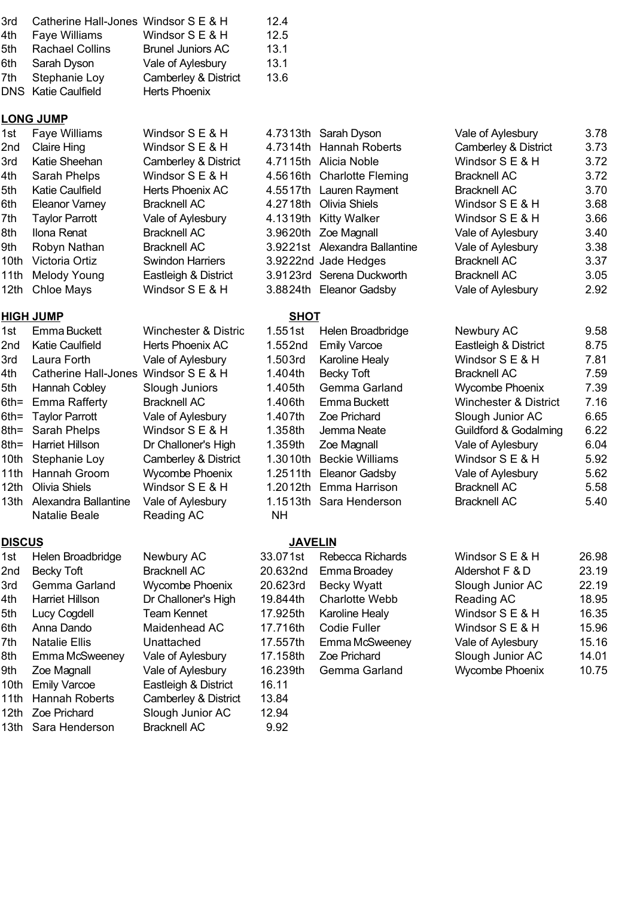|       | 3rd Catherine Hall-Jones Windsor S E & H |                          | 12.4 |
|-------|------------------------------------------|--------------------------|------|
| 4th   | <b>Faye Williams</b>                     | Windsor S E & H          | 12.5 |
| 5th - | <b>Rachael Collins</b>                   | <b>Brunel Juniors AC</b> | 13.1 |
| 6th l | Sarah Dyson                              | Vale of Aylesbury        | 13.1 |
|       | 7th Stephanie Loy                        | Camberley & District     | 13.6 |
|       | DNS Katie Caulfield                      | <b>Herts Phoenix</b>     |      |

#### **LONG JUMP**

| 1st  | <b>Faye Williams</b>  | Windsor S E & H         | 4.7313th Sarah Dyson          | Vale of Aylesbury               | 3.78 |
|------|-----------------------|-------------------------|-------------------------------|---------------------------------|------|
| 2nd  | Claire Hing           | Windsor $S \to \& H$    | 4.7314th Hannah Roberts       | <b>Camberley &amp; District</b> | 3.73 |
| 3rd  | Katie Sheehan         | Camberley & District    | 4.7115th Alicia Noble         | Windsor S E & H                 | 3.72 |
| 4th  | Sarah Phelps          | Windsor $S \to \& H$    | 4.5616th Charlotte Fleming    | <b>Bracknell AC</b>             | 3.72 |
| 5th  | Katie Caulfield       | Herts Phoenix AC        | 4.5517th Lauren Rayment       | <b>Bracknell AC</b>             | 3.70 |
| 6th  | <b>Eleanor Varney</b> | <b>Bracknell AC</b>     | 4.2718th Olivia Shiels        | Windsor $S \to \& H$            | 3.68 |
| 7th  | <b>Taylor Parrott</b> | Vale of Aylesbury       | 4.1319th Kitty Walker         | Windsor $S \to \& H$            | 3.66 |
| 8th  | Ilona Renat           | <b>Bracknell AC</b>     | 3.9620th Zoe Magnall          | Vale of Aylesbury               | 3.40 |
| 9th  | Robyn Nathan          | <b>Bracknell AC</b>     | 3.9221st Alexandra Ballantine | Vale of Aylesbury               | 3.38 |
| 10th | Victoria Ortiz        | <b>Swindon Harriers</b> | 3.9222nd Jade Hedges          | <b>Bracknell AC</b>             | 3.37 |
|      | 11th Melody Young     | Eastleigh & District    | 3.9123rd Serena Duckworth     | <b>Bracknell AC</b>             | 3.05 |
|      | 12th Chloe Mays       | Windsor S E & H         | 3.8824th Eleanor Gadsby       | Vale of Aylesbury               | 2.92 |

#### **HIGH JUMP SHOT**

| 1st              | Emma Buckett          |
|------------------|-----------------------|
| 2nd              | Katie Caulfield       |
| 3rd              | Laura Forth           |
| 4th              | Catherine Hall-Jone   |
| 5th              | Hannah Cobley         |
| $6th =$          | Emma Rafferty         |
| $6th =$          | <b>Taylor Parrott</b> |
| 8th=             | Sarah Phelps          |
| 8th=             | Harriet Hillson       |
| 10th             | Stephanie Loy         |
| 11th             | Hannah Groom          |
| 12 <sub>th</sub> | Olivia Shiels         |
| 13th             | Alexandra Ballantine  |
|                  |                       |

| 1st              | Helen Broadbridge     | Newbury AC           | 33.07  |
|------------------|-----------------------|----------------------|--------|
| 2nd              | <b>Becky Toft</b>     | <b>Bracknell AC</b>  | 20.632 |
| 3rd              | Gemma Garland         | Wycombe Phoenix      | 20.623 |
| 4th              | Harriet Hillson       | Dr Challoner's High  | 19.844 |
| 5th              | Lucy Cogdell          | <b>Team Kennet</b>   | 17.925 |
| 6th              | Anna Dando            | Maidenhead AC        | 17.716 |
| 7th              | <b>Natalie Ellis</b>  | Unattached           | 17.557 |
| 8th              | Emma McSweeney        | Vale of Aylesbury    | 17.158 |
| 9th.             | Zoe Magnall           | Vale of Aylesbury    | 16.239 |
| 10th             | <b>Emily Varcoe</b>   | Eastleigh & District | 16.11  |
| 11th             | <b>Hannah Roberts</b> | Camberley & District | 13.84  |
| 12 <sub>th</sub> | Zoe Prichard          | Slough Junior AC     | 12.94  |
| 13th             | Sara Henderson        | <b>Bracknell AC</b>  | 9.92   |
|                  |                       |                      |        |

## $4$ s Windsor S E & H 1.404th Windsor  $S \to B$  H 1.358th Natalie Beale Reading AC NH Camberley & District

| Helen Broadbridge   | Newbury AC             |
|---------------------|------------------------|
| Becky Toft          | <b>Bracknell AC</b>    |
| Gemma Garland       | <b>Wycombe Phoenix</b> |
| Harriet Hillson     | Dr Challoner's High    |
| Lucy Cogdell        | <b>Team Kennet</b>     |
| Anna Dando          | Maidenhead AC          |
| Natalie Ellis       | Unattached             |
| Emma McSweeney      | Vale of Aylesbury      |
| Zoe Magnall         | Vale of Aylesbury      |
| <b>Emily Varcoe</b> | Eastleigh & District   |
| Hannah Roberts      | Camberley & District   |
| Zoe Prichard        | Slough Junior AC       |
| Sara Henderson      | Bracknell AC           |

# 1.3010th Beckie Williams Becky Toft Jemma Neate

#### **DISCUS JAVELIN**

| 1st | Helen Broadbridge    | Newbury AC             | 33.071st | Rebecca Richards      | Windsor S E & H        | 26.98 |
|-----|----------------------|------------------------|----------|-----------------------|------------------------|-------|
| 2nd | Becky Toft           | <b>Bracknell AC</b>    | 20.632nd | Emma Broadey          | Aldershot F & D        | 23.19 |
| 3rd | Gemma Garland        | <b>Wycombe Phoenix</b> | 20.623rd | <b>Becky Wyatt</b>    | Slough Junior AC       | 22.19 |
| 4th | Harriet Hillson      | Dr Challoner's High    | 19.844th | <b>Charlotte Webb</b> | Reading AC             | 18.95 |
| 5th | Lucy Cogdell         | Team Kennet            | 17.925th | Karoline Healy        | Windsor S E & H        | 16.35 |
| 6th | Anna Dando           | Maidenhead AC          | 17.716th | Codie Fuller          | Windsor S E & H        | 15.96 |
| 7th | <b>Natalie Ellis</b> | Unattached             | 17.557th | Emma McSweeney        | Vale of Aylesbury      | 15.16 |
| 8th | Emma McSweeney       | Vale of Aylesbury      | 17.158th | Zoe Prichard          | Slough Junior AC       | 14.01 |
| 9th | Zoe Magnall          | Vale of Aylesbury      | 16.239th | Gemma Garland         | <b>Wycombe Phoenix</b> | 10.75 |
|     | 10th Emily Varcoe    | Eastleigh & District   | 16.11    |                       |                        |       |
|     |                      |                        |          |                       |                        |       |

| 1st   | <b>Faye Williams</b>            | Windsor $S \to \& H$    |                     | 4.7313th Sarah Dyson          | Vale of Aylesbury               | 3.78 |  |  |
|-------|---------------------------------|-------------------------|---------------------|-------------------------------|---------------------------------|------|--|--|
| 2nd   | Claire Hing                     | Windsor $S \to \& H$    |                     | 4.7314th Hannah Roberts       | <b>Camberley &amp; District</b> | 3.73 |  |  |
| 3rd   | Katie Sheehan                   | Camberley & District    |                     | 4.7115th Alicia Noble         | Windsor $S \to \& H$            | 3.72 |  |  |
| 4th   | Sarah Phelps                    | Windsor S E & H         |                     | 4.5616th Charlotte Fleming    | <b>Bracknell AC</b>             | 3.72 |  |  |
| 5th   | <b>Katie Caulfield</b>          | Herts Phoenix AC        |                     | 4.5517th Lauren Rayment       | <b>Bracknell AC</b>             | 3.70 |  |  |
| 6th   | <b>Eleanor Varney</b>           | <b>Bracknell AC</b>     |                     | 4.2718th Olivia Shiels        | Windsor S E & H                 | 3.68 |  |  |
| 7th   | <b>Taylor Parrott</b>           | Vale of Aylesbury       |                     | 4.1319th Kitty Walker         | Windsor $S \to \& H$            | 3.66 |  |  |
| 8th   | Ilona Renat                     | <b>Bracknell AC</b>     |                     | 3.9620th Zoe Magnall          | Vale of Aylesbury               | 3.40 |  |  |
| 9th   | Robyn Nathan                    | <b>Bracknell AC</b>     |                     | 3.9221st Alexandra Ballantine | Vale of Aylesbury               | 3.38 |  |  |
| 10th  | Victoria Ortiz                  | <b>Swindon Harriers</b> |                     | 3.9222nd Jade Hedges          | <b>Bracknell AC</b>             | 3.37 |  |  |
|       | 11th Melody Young               | Eastleigh & District    |                     | 3.9123rd Serena Duckworth     | <b>Bracknell AC</b>             | 3.05 |  |  |
|       | 12th Chloe Mays                 | Windsor S E & H         |                     | 3.8824th Eleanor Gadsby       | Vale of Aylesbury               | 2.92 |  |  |
|       | <b>HIGH JUMP</b><br><b>SHOT</b> |                         |                     |                               |                                 |      |  |  |
| 1st l | Emma Buckett                    | Winchester & Distric    | 1.551st             | Helen Broadbridge             | Newbury AC                      | 9.58 |  |  |
|       | 2nd Katie Caulfield             | Herts Phoenix AC        | 1.552 <sub>nd</sub> | Emily Varcoe                  | Eastleigh & District            | 8.75 |  |  |

| 2nd   | <b>Katie Caulfield</b>               | Herts Phoenix AC     | 1.552nd | <b>Emily Varcoe</b>      | Eastleigh & District             | 8.75 |
|-------|--------------------------------------|----------------------|---------|--------------------------|----------------------------------|------|
| 3rd   | Laura Forth                          | Vale of Aylesbury    | 1.503rd | Karoline Healy           | Windsor S E & H                  | 7.81 |
| 4th - | Catherine Hall-Jones Windsor S E & H |                      | 1.404th | Becky Toft               | <b>Bracknell AC</b>              | 7.59 |
| 5th   | Hannah Cobley                        | Slough Juniors       | 1.405th | Gemma Garland            | Wycombe Phoenix                  | 7.39 |
|       | 6th= Emma Rafferty                   | <b>Bracknell AC</b>  | 1.406th | Emma Buckett             | <b>Winchester &amp; District</b> | 7.16 |
|       | 6th= Taylor Parrott                  | Vale of Aylesbury    | 1.407th | Zoe Prichard             | Slough Junior AC                 | 6.65 |
|       | 8th= Sarah Phelps                    | Windsor S E & H      | 1.358th | Jemma Neate              | <b>Guildford &amp; Godalming</b> | 6.22 |
|       | 8th= Harriet Hillson                 | Dr Challoner's High  | 1.359th | Zoe Magnall              | Vale of Aylesbury                | 6.04 |
|       | 10th Stephanie Loy                   | Camberley & District |         | 1.3010th Beckie Williams | Windsor S E & H                  | 5.92 |
|       | 11th Hannah Groom                    | Wycombe Phoenix      |         | 1.2511th Eleanor Gadsby  | Vale of Aylesbury                | 5.62 |
|       | 12th Olivia Shiels                   | Windsor $S \to \& H$ |         | 1.2012th Emma Harrison   | <b>Bracknell AC</b>              | 5.58 |
|       | 13th Alexandra Ballantine            | Vale of Aylesbury    |         | 1.1513th Sara Henderson  | <b>Bracknell AC</b>              | 5.40 |
|       |                                      |                      |         |                          |                                  |      |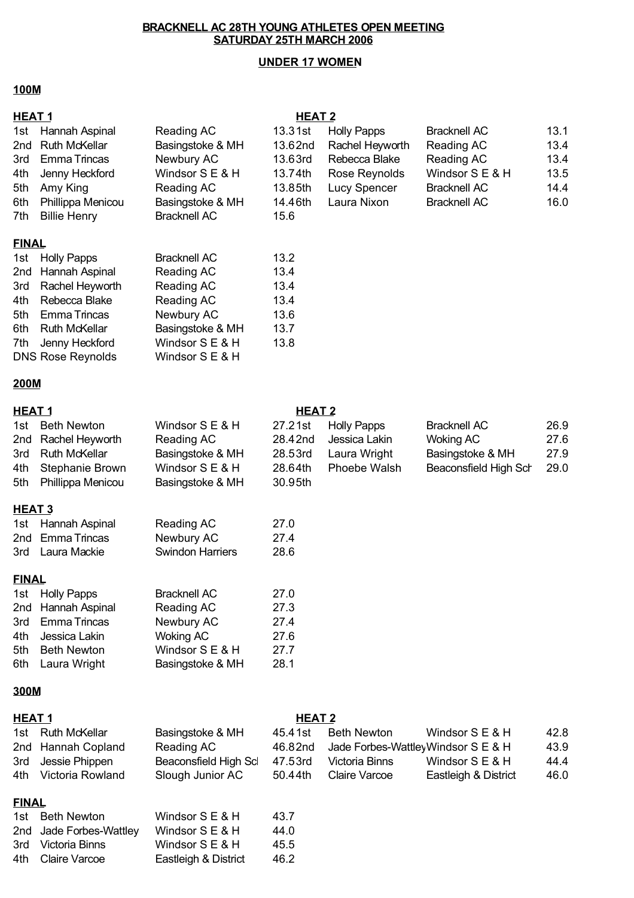## **UNDER 17 WOMEN**

#### **100M**

| <b>HEAT1</b>                                  |                                                                                                                                                                       |                                                                                                                                       | <b>HEAT 2</b>                                                          |                                                                                                        |                                                                                                                  |                                              |
|-----------------------------------------------|-----------------------------------------------------------------------------------------------------------------------------------------------------------------------|---------------------------------------------------------------------------------------------------------------------------------------|------------------------------------------------------------------------|--------------------------------------------------------------------------------------------------------|------------------------------------------------------------------------------------------------------------------|----------------------------------------------|
| 1st<br>2nd<br>3rd<br>4th<br>5th<br>6th<br>7th | Hannah Aspinal<br><b>Ruth McKellar</b><br><b>Emma Trincas</b><br>Jenny Heckford<br>Amy King<br>Phillippa Menicou<br><b>Billie Henry</b>                               | Reading AC<br>Basingstoke & MH<br>Newbury AC<br>Windsor S E & H<br>Reading AC<br>Basingstoke & MH<br><b>Bracknell AC</b>              | 13.31st<br>13.62nd<br>13.63rd<br>13.74th<br>13.85th<br>14.46th<br>15.6 | <b>Holly Papps</b><br>Rachel Heyworth<br>Rebecca Blake<br>Rose Reynolds<br>Lucy Spencer<br>Laura Nixon | <b>Bracknell AC</b><br>Reading AC<br>Reading AC<br>Windsor S E & H<br><b>Bracknell AC</b><br><b>Bracknell AC</b> | 13.1<br>13.4<br>13.4<br>13.5<br>14.4<br>16.0 |
| <b>FINAL</b>                                  |                                                                                                                                                                       |                                                                                                                                       |                                                                        |                                                                                                        |                                                                                                                  |                                              |
| 1st<br>2nd<br>3rd<br>4th<br>5th<br>6th<br>7th | <b>Holly Papps</b><br>Hannah Aspinal<br>Rachel Heyworth<br>Rebecca Blake<br><b>Emma Trincas</b><br><b>Ruth McKellar</b><br>Jenny Heckford<br><b>DNS Rose Reynolds</b> | <b>Bracknell AC</b><br>Reading AC<br>Reading AC<br>Reading AC<br>Newbury AC<br>Basingstoke & MH<br>Windsor S E & H<br>Windsor S E & H | 13.2<br>13.4<br>13.4<br>13.4<br>13.6<br>13.7<br>13.8                   |                                                                                                        |                                                                                                                  |                                              |
| <b>200M</b>                                   |                                                                                                                                                                       |                                                                                                                                       |                                                                        |                                                                                                        |                                                                                                                  |                                              |
| HEAT <sub>1</sub>                             |                                                                                                                                                                       |                                                                                                                                       | <b>HEAT 2</b>                                                          |                                                                                                        |                                                                                                                  |                                              |
| 1st<br>2nd<br>3rd<br>4th<br>5th               | <b>Beth Newton</b><br>Rachel Heyworth<br><b>Ruth McKellar</b><br>Stephanie Brown<br>Phillippa Menicou                                                                 | Windsor S E & H<br>Reading AC<br>Basingstoke & MH<br>Windsor S E & H<br>Basingstoke & MH                                              | 27.21st<br>28.42nd<br>28.53rd<br>28.64th<br>30.95th                    | <b>Holly Papps</b><br>Jessica Lakin<br>Laura Wright<br>Phoebe Walsh                                    | <b>Bracknell AC</b><br><b>Woking AC</b><br>Basingstoke & MH<br>Beaconsfield High Sch                             | 26.9<br>27.6<br>27.9<br>29.0                 |
| HEAT <sub>3</sub>                             |                                                                                                                                                                       |                                                                                                                                       |                                                                        |                                                                                                        |                                                                                                                  |                                              |
| 1st<br>2nd<br>3rd                             | Hannah Aspinal<br><b>Emma Trincas</b><br>Laura Mackie                                                                                                                 | Reading AC<br>Newbury AC<br><b>Swindon Harriers</b>                                                                                   | 27.0<br>27.4<br>28.6                                                   |                                                                                                        |                                                                                                                  |                                              |
| <u>FINAL</u>                                  |                                                                                                                                                                       |                                                                                                                                       |                                                                        |                                                                                                        |                                                                                                                  |                                              |
| 1st<br>2nd<br>3rd<br>4th<br>5th<br>6th        | <b>Holly Papps</b><br>Hannah Aspinal<br>Emma Trincas<br>Jessica Lakin<br><b>Beth Newton</b><br>Laura Wright                                                           | <b>Bracknell AC</b><br>Reading AC<br>Newbury AC<br><b>Woking AC</b><br>Windsor S E & H<br>Basingstoke & MH                            | 27.0<br>27.3<br>27.4<br>27.6<br>27.7<br>28.1                           |                                                                                                        |                                                                                                                  |                                              |
| 300M                                          |                                                                                                                                                                       |                                                                                                                                       |                                                                        |                                                                                                        |                                                                                                                  |                                              |
| <u>HEAT 1</u>                                 |                                                                                                                                                                       |                                                                                                                                       | HEAT <sub>2</sub>                                                      |                                                                                                        |                                                                                                                  |                                              |
| 1st<br>2nd<br>3rd                             | <b>Ruth McKellar</b><br>Hannah Copland<br>Jessie Phippen                                                                                                              | Basingstoke & MH<br>Reading AC<br>Beaconsfield High Scl                                                                               | 45.41st<br>46.82nd<br>47.53rd                                          | <b>Beth Newton</b><br>Jade Forbes-WattleyWindsor S E & H<br>Victoria Binns                             | Windsor S E & H<br>Windsor S E & H                                                                               | 42.8<br>43.9<br>44.4                         |

4th Victoria Rowland Slough Junior AC 50.44th Claire Varcoe Eastleigh & District 46.0

Claire Varcoe Eastleigh & District

#### **FINAL**

| 1st Beth Newton         | Windsor S E & H      | 43.7 |
|-------------------------|----------------------|------|
| 2nd Jade Forbes-Wattley | Windsor $S \to \& H$ | 44.0 |
| 3rd Victoria Binns      | Windsor $S \to \& H$ | 45.5 |
| 4th Claire Varcoe       | Eastleigh & District | 46.2 |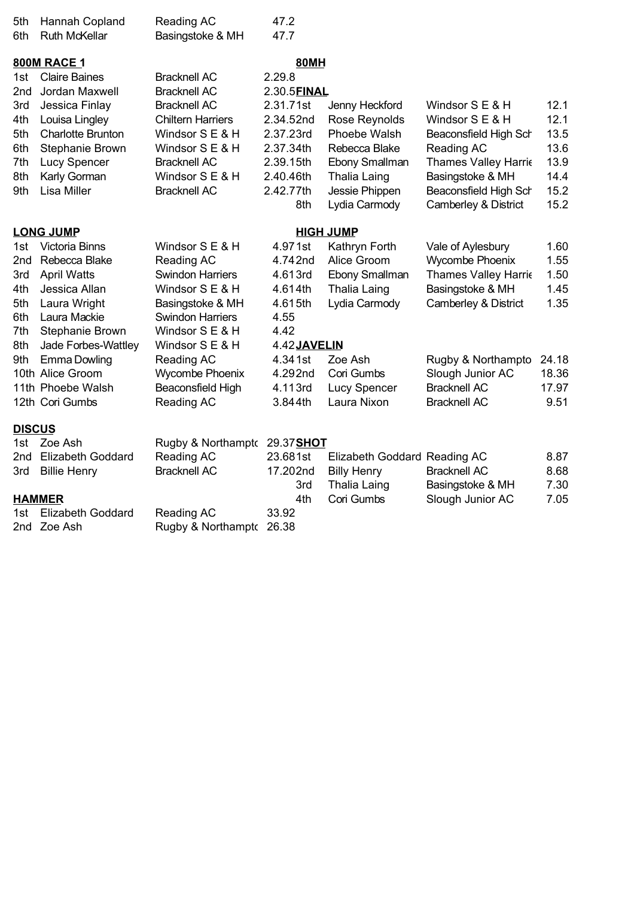| 5th<br>6th                                                  | Hannah Copland<br><b>Ruth McKellar</b>                                                                                                                                                                                              | Reading AC<br>Basingstoke & MH                                                                                                                                                                                                              | 47.2<br>47.7                                                                                                                    |                                                                                                                                         |                                                                                                                                                                                                         |                                                                         |
|-------------------------------------------------------------|-------------------------------------------------------------------------------------------------------------------------------------------------------------------------------------------------------------------------------------|---------------------------------------------------------------------------------------------------------------------------------------------------------------------------------------------------------------------------------------------|---------------------------------------------------------------------------------------------------------------------------------|-----------------------------------------------------------------------------------------------------------------------------------------|---------------------------------------------------------------------------------------------------------------------------------------------------------------------------------------------------------|-------------------------------------------------------------------------|
| 1st<br>2nd<br>3rd<br>4th<br>5th<br>6th<br>7th<br>8th<br>9th | <b>800M RACE 1</b><br><b>Claire Baines</b><br>Jordan Maxwell<br>Jessica Finlay<br>Louisa Lingley<br><b>Charlotte Brunton</b><br>Stephanie Brown<br>Lucy Spencer<br>Karly Gorman<br><b>Lisa Miller</b>                               | <b>Bracknell AC</b><br><b>Bracknell AC</b><br><b>Bracknell AC</b><br><b>Chiltern Harriers</b><br>Windsor S E & H<br>Windsor S E & H<br><b>Bracknell AC</b><br>Windsor S E & H<br><b>Bracknell AC</b>                                        | <b>80MH</b><br>2.29.8<br>2.30.5FINAL<br>2.31.71st<br>2.34.52nd<br>2.37.23rd<br>2.37.34th<br>2.39.15th<br>2.40.46th<br>2.42.77th | Jenny Heckford<br>Rose Reynolds<br>Phoebe Walsh<br>Rebecca Blake<br>Ebony Smallman<br>Thalia Laing<br>Jessie Phippen                    | Windsor S E & H<br>Windsor S E & H<br>Beaconsfield High Sch<br>Reading AC<br><b>Thames Valley Harrie</b><br>Basingstoke & MH<br>Beaconsfield High Sch                                                   | 12.1<br>12.1<br>13.5<br>13.6<br>13.9<br>14.4<br>15.2                    |
|                                                             |                                                                                                                                                                                                                                     |                                                                                                                                                                                                                                             | 8th                                                                                                                             | Lydia Carmody                                                                                                                           | Camberley & District                                                                                                                                                                                    | 15.2                                                                    |
|                                                             | <b>LONG JUMP</b>                                                                                                                                                                                                                    |                                                                                                                                                                                                                                             |                                                                                                                                 | <b>HIGH JUMP</b>                                                                                                                        |                                                                                                                                                                                                         |                                                                         |
| 1st<br>2nd<br>3rd<br>4th<br>5th<br>6th<br>7th<br>8th<br>9th | Victoria Binns<br>Rebecca Blake<br><b>April Watts</b><br>Jessica Allan<br>Laura Wright<br>Laura Mackie<br>Stephanie Brown<br>Jade Forbes-Wattley<br><b>Emma Dowling</b><br>10th Alice Groom<br>11th Phoebe Walsh<br>12th Cori Gumbs | Windsor S E & H<br>Reading AC<br><b>Swindon Harriers</b><br>Windsor S E & H<br>Basingstoke & MH<br><b>Swindon Harriers</b><br>Windsor S E & H<br>Windsor S E & H<br>Reading AC<br><b>Wycombe Phoenix</b><br>Beaconsfield High<br>Reading AC | 4.971st<br>4.742nd<br>4.613rd<br>4.614th<br>4.615th<br>4.55<br>4.42<br>4.42 JAVELIN<br>4.341st<br>4.292nd<br>4.113rd<br>3.844th | Kathryn Forth<br>Alice Groom<br>Ebony Smallman<br>Thalia Laing<br>Lydia Carmody<br>Zoe Ash<br>Cori Gumbs<br>Lucy Spencer<br>Laura Nixon | Vale of Aylesbury<br>Wycombe Phoenix<br><b>Thames Valley Harrie</b><br>Basingstoke & MH<br>Camberley & District<br>Rugby & Northampto<br>Slough Junior AC<br><b>Bracknell AC</b><br><b>Bracknell AC</b> | 1.60<br>1.55<br>1.50<br>1.45<br>1.35<br>24.18<br>18.36<br>17.97<br>9.51 |
| <b>DISCUS</b>                                               |                                                                                                                                                                                                                                     |                                                                                                                                                                                                                                             |                                                                                                                                 |                                                                                                                                         |                                                                                                                                                                                                         |                                                                         |
| 1st<br>2nd<br>3rd                                           | Zoe Ash<br><b>Elizabeth Goddard</b><br><b>Billie Henry</b>                                                                                                                                                                          | Rugby & Northampto<br>Reading AC<br><b>Bracknell AC</b>                                                                                                                                                                                     | 29.37SHOT<br>23.681st<br>17.202nd<br>3rd                                                                                        | Elizabeth Goddard Reading AC<br><b>Billy Henry</b><br><b>Thalia Laing</b>                                                               | <b>Bracknell AC</b><br>Basingstoke & MH                                                                                                                                                                 | 8.87<br>8.68<br>7.30                                                    |
| 1st                                                         | <b>HAMMER</b><br><b>Elizabeth Goddard</b><br>2nd Zoe Ash                                                                                                                                                                            | Reading AC<br>Rugby & Northampto                                                                                                                                                                                                            | 4th<br>33.92<br>26.38                                                                                                           | Cori Gumbs                                                                                                                              | Slough Junior AC                                                                                                                                                                                        | 7.05                                                                    |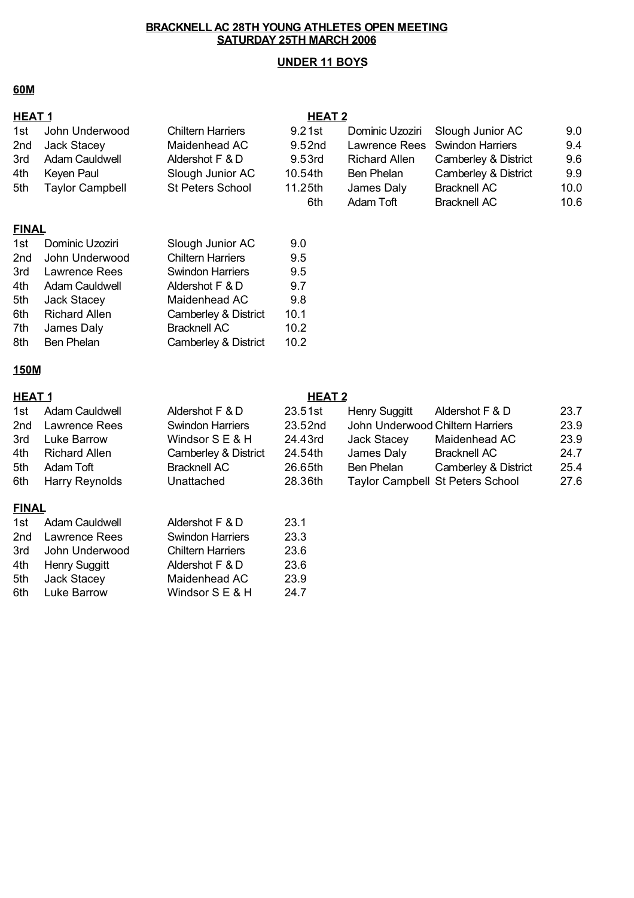## **UNDER 11 BOYS**

## **60M**

| <b>HEAT1</b> |                        |                          | HEAT <sub>2</sub> |                                  |                                         |      |
|--------------|------------------------|--------------------------|-------------------|----------------------------------|-----------------------------------------|------|
| 1st          | John Underwood         | <b>Chiltern Harriers</b> | 9.21st            | Dominic Uzoziri                  | Slough Junior AC                        | 9.0  |
| 2nd          | Jack Stacey            | Maidenhead AC            | 9.52nd            | Lawrence Rees                    | <b>Swindon Harriers</b>                 | 9.4  |
| 3rd          | Adam Cauldwell         | Aldershot F & D          | 9.53rd            | <b>Richard Allen</b>             | Camberley & District                    | 9.6  |
| 4th          | Keyen Paul             | Slough Junior AC         | 10.54th           | Ben Phelan                       | Camberley & District                    | 9.9  |
| 5th          | <b>Taylor Campbell</b> | <b>St Peters School</b>  | 11.25th           | James Daly                       | <b>Bracknell AC</b>                     | 10.0 |
|              |                        |                          | 6th               | <b>Adam Toft</b>                 | <b>Bracknell AC</b>                     | 10.6 |
| <b>FINAL</b> |                        |                          |                   |                                  |                                         |      |
| 1st          | Dominic Uzoziri        | Slough Junior AC         | 9.0               |                                  |                                         |      |
| 2nd          | John Underwood         | <b>Chiltern Harriers</b> | 9.5               |                                  |                                         |      |
| 3rd          | Lawrence Rees          | <b>Swindon Harriers</b>  | 9.5               |                                  |                                         |      |
| 4th          | <b>Adam Cauldwell</b>  | Aldershot F & D          | 9.7               |                                  |                                         |      |
| 5th          | Jack Stacey            | Maidenhead AC            | 9.8               |                                  |                                         |      |
| 6th          | <b>Richard Allen</b>   | Camberley & District     | 10.1              |                                  |                                         |      |
| 7th          | James Daly             | <b>Bracknell AC</b>      | 10.2              |                                  |                                         |      |
| 8th          | <b>Ben Phelan</b>      | Camberley & District     | 10.2              |                                  |                                         |      |
| 150M         |                        |                          |                   |                                  |                                         |      |
| <b>HEAT1</b> |                        |                          | <b>HEAT 2</b>     |                                  |                                         |      |
| 1st          | <b>Adam Cauldwell</b>  | Aldershot F & D          | 23.51st           | <b>Henry Suggitt</b>             | Aldershot F & D                         | 23.7 |
| 2nd          | Lawrence Rees          | <b>Swindon Harriers</b>  | 23.52nd           | John Underwood Chiltern Harriers |                                         | 23.9 |
| 3rd          | Luke Barrow            | Windsor S E & H          | 24.43rd           | Jack Stacey                      | Maidenhead AC                           | 23.9 |
| 4th          | <b>Richard Allen</b>   | Camberley & District     | 24.54th           | James Daly                       | <b>Bracknell AC</b>                     | 24.7 |
| 5th          | Adam Toft              | <b>Bracknell AC</b>      | 26.65th           | Ben Phelan                       | Camberley & District                    | 25.4 |
| 6th          | Harry Reynolds         | Unattached               | 28.36th           |                                  | <b>Taylor Campbell St Peters School</b> | 27.6 |
| <b>FINAL</b> |                        |                          |                   |                                  |                                         |      |
| 1st          | Adam Cauldwell         | Aldershot F & D          | 23.1              |                                  |                                         |      |
| 2nd          | Lawrence Rees          | <b>Swindon Harriers</b>  | 23.3              |                                  |                                         |      |
| 3rd          | John Underwood         | <b>Chiltern Harriers</b> | 23.6              |                                  |                                         |      |
| 4th          | Henry Suggitt          | Aldershot F & D          | 23.6              |                                  |                                         |      |
| 5th          | Jack Stacey            | Maidenhead AC            | 23.9              |                                  |                                         |      |
| 6th          | Luke Barrow            | Windsor S E & H          | 24.7              |                                  |                                         |      |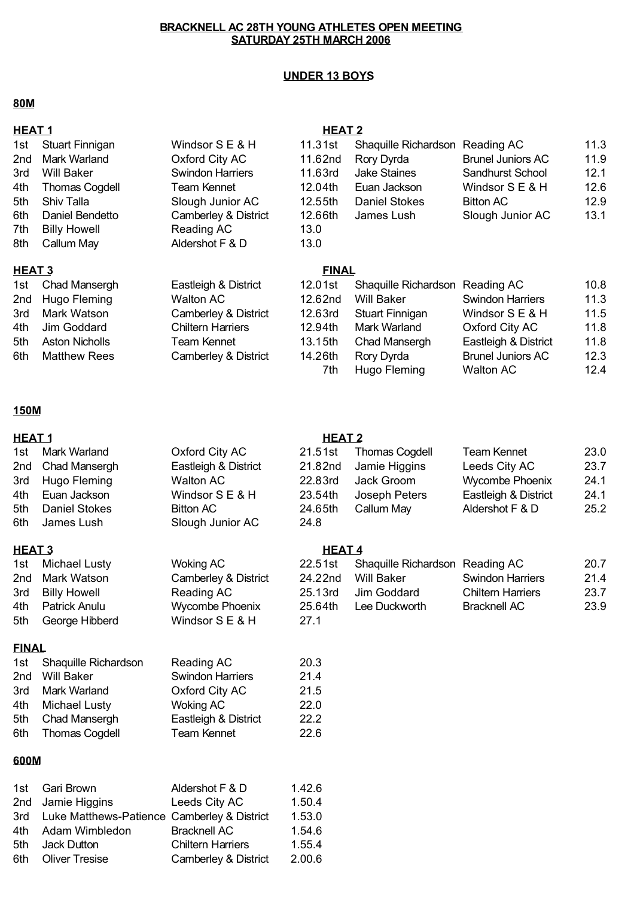## **UNDER 13 BOYS**

#### **80M**

| <b>HEAT1</b><br>1st<br>2 <sub>nd</sub><br>3rd<br>4th<br>5th<br>6th<br>7th | <b>Stuart Finnigan</b><br>Mark Warland<br><b>Will Baker</b><br><b>Thomas Cogdell</b><br>Shiv Talla<br>Daniel Bendetto<br><b>Billy Howell</b> | Windsor S E & H<br>Oxford City AC<br><b>Swindon Harriers</b><br><b>Team Kennet</b><br>Slough Junior AC<br>Camberley & District<br>Reading AC | <b>HEAT 2</b><br>11.31st<br>11.62nd<br>11.63rd<br>12.04th<br>12.55th<br>12.66th<br>13.0 | Shaquille Richardson<br>Rory Dyrda<br><b>Jake Staines</b><br>Euan Jackson<br><b>Daniel Stokes</b><br>James Lush                    | Reading AC<br><b>Brunel Juniors AC</b><br>Sandhurst School<br>Windsor S E & H<br><b>Bitton AC</b><br>Slough Junior AC                              | 11.3<br>11.9<br>12.1<br>12.6<br>12.9<br>13.1         |
|---------------------------------------------------------------------------|----------------------------------------------------------------------------------------------------------------------------------------------|----------------------------------------------------------------------------------------------------------------------------------------------|-----------------------------------------------------------------------------------------|------------------------------------------------------------------------------------------------------------------------------------|----------------------------------------------------------------------------------------------------------------------------------------------------|------------------------------------------------------|
| 8th                                                                       | Callum May                                                                                                                                   | Aldershot F & D                                                                                                                              | 13.0                                                                                    |                                                                                                                                    |                                                                                                                                                    |                                                      |
| HEAT <sub>3</sub><br>1st<br>2 <sub>nd</sub><br>3rd<br>4th<br>5th<br>6th   | Chad Mansergh<br>Hugo Fleming<br>Mark Watson<br>Jim Goddard<br><b>Aston Nicholls</b><br><b>Matthew Rees</b>                                  | Eastleigh & District<br><b>Walton AC</b><br>Camberley & District<br><b>Chiltern Harriers</b><br><b>Team Kennet</b><br>Camberley & District   | <b>FINAL</b><br>12.01st<br>12.62nd<br>12.63rd<br>12.94th<br>13.15th<br>14.26th<br>7th   | Shaquille Richardson<br><b>Will Baker</b><br><b>Stuart Finnigan</b><br>Mark Warland<br>Chad Mansergh<br>Rory Dyrda<br>Hugo Fleming | Reading AC<br><b>Swindon Harriers</b><br>Windsor S E & H<br>Oxford City AC<br>Eastleigh & District<br><b>Brunel Juniors AC</b><br><b>Walton AC</b> | 10.8<br>11.3<br>11.5<br>11.8<br>11.8<br>12.3<br>12.4 |
| 150M                                                                      |                                                                                                                                              |                                                                                                                                              |                                                                                         |                                                                                                                                    |                                                                                                                                                    |                                                      |
| <b>HEAT1</b>                                                              |                                                                                                                                              |                                                                                                                                              | <b>HEAT 2</b>                                                                           |                                                                                                                                    |                                                                                                                                                    |                                                      |
| 1st<br>2nd<br>3rd<br>4th<br>5th<br>6th                                    | Mark Warland<br>Chad Mansergh<br>Hugo Fleming<br>Euan Jackson<br><b>Daniel Stokes</b><br>James Lush                                          | Oxford City AC<br>Eastleigh & District<br><b>Walton AC</b><br>Windsor S E & H<br><b>Bitton AC</b><br>Slough Junior AC                        | 21.51st<br>21.82nd<br>22.83rd<br>23.54th<br>24.65th<br>24.8                             | <b>Thomas Cogdell</b><br>Jamie Higgins<br>Jack Groom<br>Joseph Peters<br>Callum May                                                | <b>Team Kennet</b><br>Leeds City AC<br>Wycombe Phoenix<br>Eastleigh & District<br>Aldershot F & D                                                  | 23.0<br>23.7<br>24.1<br>24.1<br>25.2                 |
| HEAT <sub>3</sub>                                                         |                                                                                                                                              |                                                                                                                                              | <b>HEAT4</b>                                                                            |                                                                                                                                    |                                                                                                                                                    |                                                      |
| 1st<br>2nd<br>3rd<br>4th<br>5th                                           | <b>Michael Lusty</b><br>Mark Watson<br><b>Billy Howell</b><br>Patrick Anulu<br>George Hibberd                                                | <b>Woking AC</b><br>Camberley & District<br>Reading AC<br>Wycombe Phoenix<br>Windsor S E & H                                                 | 22.51st<br>24.22nd<br>25.13rd<br>25.64th<br>27.1                                        | Shaquille Richardson Reading AC<br><b>Will Baker</b><br>Jim Goddard<br>Lee Duckworth                                               | <b>Swindon Harriers</b><br><b>Chiltern Harriers</b><br><b>Bracknell AC</b>                                                                         | 20.7<br>21.4<br>23.7<br>23.9                         |
| <b>FINAL</b>                                                              |                                                                                                                                              |                                                                                                                                              |                                                                                         |                                                                                                                                    |                                                                                                                                                    |                                                      |
| 1st<br>2nd<br>3rd<br>4th<br>5th<br>6th                                    | Shaquille Richardson<br><b>Will Baker</b><br>Mark Warland<br><b>Michael Lusty</b><br>Chad Mansergh<br><b>Thomas Cogdell</b>                  | Reading AC<br><b>Swindon Harriers</b><br>Oxford City AC<br><b>Woking AC</b><br>Eastleigh & District<br><b>Team Kennet</b>                    | 20.3<br>21.4<br>21.5<br>22.0<br>22.2<br>22.6                                            |                                                                                                                                    |                                                                                                                                                    |                                                      |
| 600M                                                                      |                                                                                                                                              |                                                                                                                                              |                                                                                         |                                                                                                                                    |                                                                                                                                                    |                                                      |
| 1st<br>2nd<br>3rd                                                         | Gari Brown<br>Jamie Higgins<br>Luke Matthews-Patience Camberley & District                                                                   | Aldershot F & D<br>Leeds City AC                                                                                                             | 1.42.6<br>1.50.4<br>1.53.0                                                              |                                                                                                                                    |                                                                                                                                                    |                                                      |

4th Adam Wimbledon Bracknell AC 1.54.6 5th 1.55.4 Jack Dutton Chiltern Harriers 6th 2.00.6 Oliver Tresise Camberley & District

Bracknell AC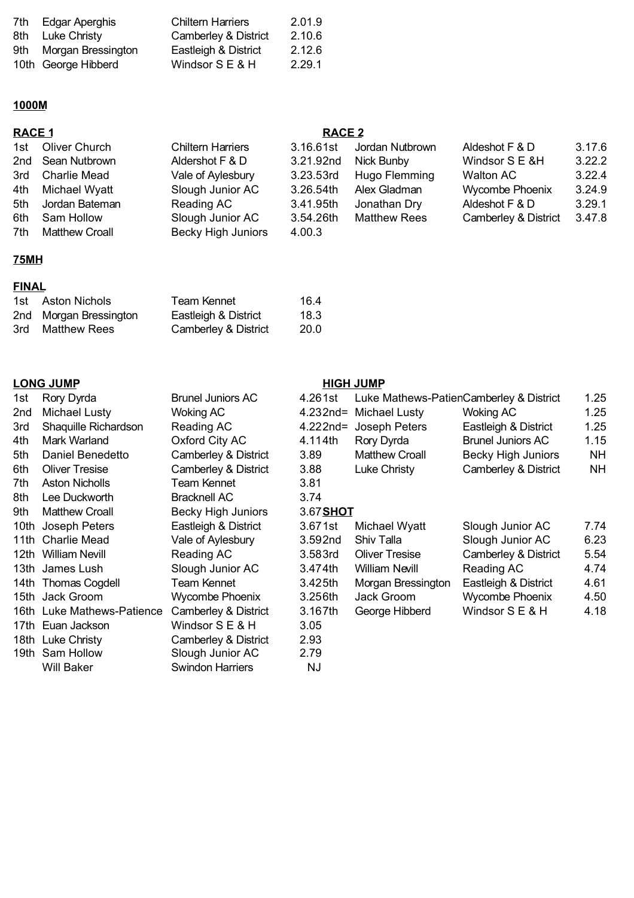| 7th Edgar Aperghis     | <b>Chiltern Harriers</b>        | 2.01.9 |
|------------------------|---------------------------------|--------|
| 8th Luke Christy       | <b>Camberley &amp; District</b> | 2.10.6 |
| 9th Morgan Bressington | Eastleigh & District            | 2.12.6 |
| 10th George Hibberd    | Windsor $S \to \& H$            | 2.29.1 |

#### **1000M**

|     | <b>RACE 1</b>         |                           |           | <b>RACE 2</b>       |                      |        |  |
|-----|-----------------------|---------------------------|-----------|---------------------|----------------------|--------|--|
| 1st | Oliver Church         | <b>Chiltern Harriers</b>  | 3.16.61st | Jordan Nutbrown     | Aldeshot F & D       | 3.17.6 |  |
|     | 2nd Sean Nutbrown     | Aldershot F & D           | 3.21.92nd | Nick Bunby          | Windsor S E &H       | 3.22.2 |  |
| 3rd | Charlie Mead          | Vale of Aylesbury         | 3.23.53rd | Hugo Flemming       | Walton AC            | 3.22.4 |  |
| 4th | Michael Wyatt         | Slough Junior AC          | 3.26.54th | Alex Gladman        | Wycombe Phoenix      | 3.24.9 |  |
| 5th | Jordan Bateman        | Reading AC                | 3.41.95th | Jonathan Dry        | Aldeshot F & D       | 3.29.1 |  |
| 6th | Sam Hollow            | Slough Junior AC          | 3.54.26th | <b>Matthew Rees</b> | Camberley & District | 3.47.8 |  |
| 7th | <b>Matthew Croall</b> | <b>Becky High Juniors</b> | 4.00.3    |                     |                      |        |  |

## **75MH**

## **FINAL**

| 1st Aston Nichols      | <b>Team Kennet</b>   | 16.4 |
|------------------------|----------------------|------|
| 2nd Morgan Bressington | Eastleigh & District | 18.3 |
| 3rd Matthew Rees       | Camberley & District | 20.0 |

## **LONG JUMP HIGH JUMP**

| 1st    | Rory Dyrda                 | <b>Brunel Juniors AC</b>  | 4.261st     | Luke Mathews-PatienCamberley & District |                           | 1.25      |
|--------|----------------------------|---------------------------|-------------|-----------------------------------------|---------------------------|-----------|
| 2nd    | Michael Lusty              | <b>Woking AC</b>          | $4.232nd =$ | Michael Lusty                           | <b>Woking AC</b>          | 1.25      |
| 3rd    | Shaquille Richardson       | Reading AC                | $4.222$ nd= | Joseph Peters                           | Eastleigh & District      | 1.25      |
| 4th    | Mark Warland               | Oxford City AC            | 4.114th     | Rory Dyrda                              | <b>Brunel Juniors AC</b>  | 1.15      |
| 5th    | Daniel Benedetto           | Camberley & District      | 3.89        | <b>Matthew Croall</b>                   | <b>Becky High Juniors</b> | <b>NH</b> |
| 6th    | <b>Oliver Tresise</b>      | Camberley & District      | 3.88        | Luke Christy                            | Camberley & District      | <b>NH</b> |
| 7th    | <b>Aston Nicholls</b>      | Team Kennet               | 3.81        |                                         |                           |           |
| 8th    | Lee Duckworth              | <b>Bracknell AC</b>       | 3.74        |                                         |                           |           |
| 9th    | <b>Matthew Croall</b>      | <b>Becky High Juniors</b> | 3.67 SHOT   |                                         |                           |           |
|        | 10th Joseph Peters         | Eastleigh & District      | 3.671st     | Michael Wyatt                           | Slough Junior AC          | 7.74      |
|        | 11th Charlie Mead          | Vale of Aylesbury         | 3.592nd     | Shiv Talla                              | Slough Junior AC          | 6.23      |
|        | 12th William Nevill        | Reading AC                | 3.583rd     | <b>Oliver Tresise</b>                   | Camberley & District      | 5.54      |
|        | 13th James Lush            | Slough Junior AC          | 3.474th     | William Nevill                          | Reading AC                | 4.74      |
|        | 14th Thomas Cogdell        | Team Kennet               | 3.425th     | Morgan Bressington                      | Eastleigh & District      | 4.61      |
|        | 15th Jack Groom            | <b>Wycombe Phoenix</b>    | 3.256th     | Jack Groom                              | <b>Wycombe Phoenix</b>    | 4.50      |
|        | 16th Luke Mathews-Patience | Camberley & District      | 3.167th     | George Hibberd                          | Windsor S E & H           | 4.18      |
|        | 17th Euan Jackson          | Windsor S E & H           | 3.05        |                                         |                           |           |
|        | 18th Luke Christy          | Camberley & District      | 2.93        |                                         |                           |           |
| 19th - | Sam Hollow                 | Slough Junior AC          | 2.79        |                                         |                           |           |
|        | <b>Will Baker</b>          | <b>Swindon Harriers</b>   | <b>NJ</b>   |                                         |                           |           |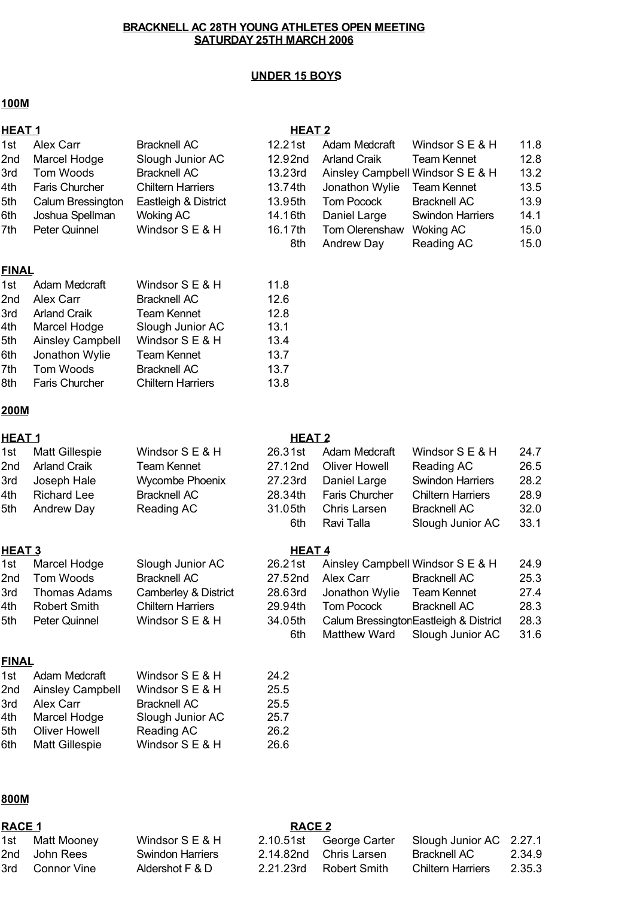#### **UNDER 15 BOYS**

#### **100M**

## **HEAT 1 HEAT 2**

| 1st  | Alex Carr             | <b>Bracknell AC</b>      | 12.21st | Adam Medcraft       | Windsor S E & H                  | 11.8 |
|------|-----------------------|--------------------------|---------|---------------------|----------------------------------|------|
| 2nd  | Marcel Hodge          | Slough Junior AC         | 12.92nd | <b>Arland Craik</b> | <b>Team Kennet</b>               | 12.8 |
| 3rd  | Tom Woods             | <b>Bracknell AC</b>      | 13.23rd |                     | Ainsley Campbell Windsor S E & H | 13.2 |
| l4th | <b>Faris Churcher</b> | <b>Chiltern Harriers</b> | 13.74th | Jonathon Wylie      | <b>Team Kennet</b>               | 13.5 |
| 5th  | Calum Bressington     | Eastleigh & District     | 13.95th | <b>Tom Pocock</b>   | <b>Bracknell AC</b>              | 13.9 |
| 6th  | Joshua Spellman       | Woking AC                | 14.16th | Daniel Large        | <b>Swindon Harriers</b>          | 14.1 |
| 7th  | Peter Quinnel         | Windsor S E & H          | 16.17th | Tom Olerenshaw      | <b>Woking AC</b>                 | 15.0 |
|      |                       |                          | 8th     | <b>Andrew Day</b>   | Reading AC                       | 15.0 |
|      |                       |                          |         |                     |                                  |      |

#### **FINAL**

| 1st | Adam Medcraft           | Windsor S E & H          | 11.8 |
|-----|-------------------------|--------------------------|------|
| 2nd | Alex Carr               | <b>Bracknell AC</b>      | 12.6 |
| 3rd | <b>Arland Craik</b>     | <b>Team Kennet</b>       | 12.8 |
| 4th | Marcel Hodge            | Slough Junior AC         | 13.1 |
| 5th | <b>Ainsley Campbell</b> | Windsor S E & H          | 13.4 |
| 6th | Jonathon Wylie          | <b>Team Kennet</b>       | 13.7 |
| 7th | Tom Woods               | <b>Bracknell AC</b>      | 13.7 |
| 8th | <b>Faris Churcher</b>   | <b>Chiltern Harriers</b> | 13.8 |

#### **200M**

| 1st  | <b>Matt Gillespie</b> | Windsor S E & H        | 26.31st | Adam Medcraft         | Windsor S E & H          | 24.7 |
|------|-----------------------|------------------------|---------|-----------------------|--------------------------|------|
| 2nd  | <b>Arland Craik</b>   | <b>Team Kennet</b>     | 27.12nd | <b>Oliver Howell</b>  | Reading AC               | 26.5 |
| 3rd  | Joseph Hale           | <b>Wycombe Phoenix</b> | 27.23rd | Daniel Large          | <b>Swindon Harriers</b>  | 28.2 |
| l4th | <b>Richard Lee</b>    | <b>Bracknell AC</b>    | 28.34th | <b>Faris Churcher</b> | <b>Chiltern Harriers</b> | 28.9 |
| 5th  | Andrew Day            | Reading AC             | 31.05th | Chris Larsen          | <b>Bracknell AC</b>      | 32.0 |
|      |                       |                        | 6th     | Ravi Talla            | Slough Junior AC         | 33.1 |

#### **HEAT 3 HEAT 4**

| 1st | Marcel Hodge        | Slough Junior AC         | 26.21st |                | Ainsley Campbell Windsor S E & H       | 24.9 |
|-----|---------------------|--------------------------|---------|----------------|----------------------------------------|------|
| 2nd | Tom Woods           | <b>Bracknell AC</b>      | 27.52nd | Alex Carr      | <b>Bracknell AC</b>                    | 25.3 |
| 3rd | <b>Thomas Adams</b> | Camberley & District     | 28.63rd | Jonathon Wylie | <b>Team Kennet</b>                     | 27.4 |
| 4th | <b>Robert Smith</b> | <b>Chiltern Harriers</b> | 29.94th | Tom Pocock     | <b>Bracknell AC</b>                    | 28.3 |
| 5th | Peter Quinnel       | Windsor S E & H          | 34.05th |                | Calum Bressington Eastleigh & District | 28.3 |
|     |                     |                          | 6th     | Matthew Ward   | Slough Junior AC                       | 31.6 |

#### **FINAL**

| 1st | Adam Medcraft           | Windsor S E & H     | 24.2 |
|-----|-------------------------|---------------------|------|
| 2nd | <b>Ainsley Campbell</b> | Windsor S E & H     | 25.5 |
| 3rd | Alex Carr               | <b>Bracknell AC</b> | 25.5 |
| 4th | Marcel Hodge            | Slough Junior AC    | 25.7 |
| 5th | <b>Oliver Howell</b>    | Reading AC          | 26.2 |
| 6th | <b>Matt Gillespie</b>   | Windsor S E & H     | 26.6 |
|     |                         |                     |      |

#### **800M**

| RACE 1 |                 |                         | <b>RACE 2</b> |                         |                          |        |
|--------|-----------------|-------------------------|---------------|-------------------------|--------------------------|--------|
|        | 1st Matt Mooney | Windsor S E & H         |               | 2.10.51st George Carter | Slough Junior AC 2.27.1  |        |
|        | 2nd John Rees   | <b>Swindon Harriers</b> |               | 2.14.82nd Chris Larsen  | Bracknell AC             | 2.34.9 |
| 3rd -  | Connor Vine     | Aldershot F & D         | 2.21.23rd     | Robert Smith            | <b>Chiltern Harriers</b> | 2.35.3 |

#### **HEAT 1 HEAT 2**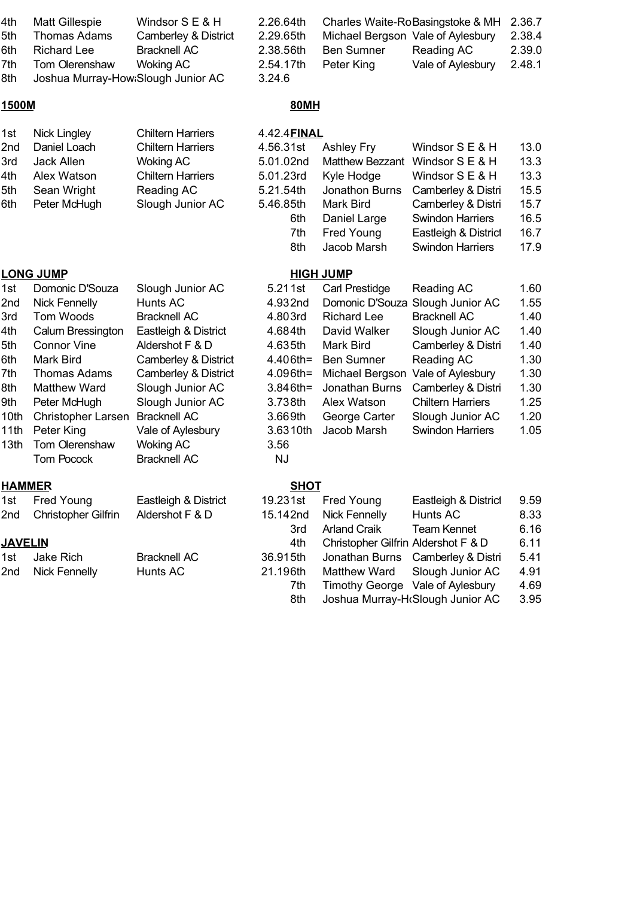| 4th<br>5th<br>6th<br>7th<br>8th                                                     | <b>Matt Gillespie</b><br><b>Thomas Adams</b><br><b>Richard Lee</b><br>Tom Olerenshaw<br>Joshua Murray-How Slough Junior AC                                                                                                                                          | Windsor S E & H<br>Camberley & District<br><b>Bracknell AC</b><br><b>Woking AC</b>                                                                                                                                                                                            | 2.26.64th<br>2.29.65th<br>2.38.56th<br>2.54.17th<br>3.24.6                                                                                        | <b>Ben Sumner</b><br>Peter King                                                                                                                                                                      | Charles Waite-RoBasingstoke & MH<br>Michael Bergson Vale of Aylesbury<br>Reading AC<br>Vale of Aylesbury                                                                                                                            | 2.36.7<br>2.38.4<br>2.39.0<br>2.48.1                                                 |
|-------------------------------------------------------------------------------------|---------------------------------------------------------------------------------------------------------------------------------------------------------------------------------------------------------------------------------------------------------------------|-------------------------------------------------------------------------------------------------------------------------------------------------------------------------------------------------------------------------------------------------------------------------------|---------------------------------------------------------------------------------------------------------------------------------------------------|------------------------------------------------------------------------------------------------------------------------------------------------------------------------------------------------------|-------------------------------------------------------------------------------------------------------------------------------------------------------------------------------------------------------------------------------------|--------------------------------------------------------------------------------------|
| 1500M                                                                               |                                                                                                                                                                                                                                                                     |                                                                                                                                                                                                                                                                               | <b>80MH</b>                                                                                                                                       |                                                                                                                                                                                                      |                                                                                                                                                                                                                                     |                                                                                      |
| 1st<br>2nd<br>3rd<br>4th<br>5th<br>6th                                              | <b>Nick Lingley</b><br>Daniel Loach<br>Jack Allen<br>Alex Watson<br>Sean Wright<br>Peter McHugh                                                                                                                                                                     | <b>Chiltern Harriers</b><br><b>Chiltern Harriers</b><br><b>Woking AC</b><br><b>Chiltern Harriers</b><br>Reading AC<br>Slough Junior AC                                                                                                                                        | 4.42.4 <b>FINAL</b><br>4.56.31st<br>5.01.02nd<br>5.01.23rd<br>5.21.54th<br>5.46.85th<br>6th<br>7th<br>8th                                         | <b>Ashley Fry</b><br><b>Matthew Bezzant</b><br>Kyle Hodge<br>Jonathon Burns<br>Mark Bird<br>Daniel Large<br>Fred Young<br>Jacob Marsh                                                                | Windsor S E & H<br>Windsor S E & H<br>Windsor S E & H<br>Camberley & Distri<br>Camberley & Distri<br><b>Swindon Harriers</b><br>Eastleigh & District<br><b>Swindon Harriers</b>                                                     | 13.0<br>13.3<br>13.3<br>15.5<br>15.7<br>16.5<br>16.7<br>17.9                         |
|                                                                                     | <b>LONG JUMP</b>                                                                                                                                                                                                                                                    |                                                                                                                                                                                                                                                                               |                                                                                                                                                   | <b>HIGH JUMP</b>                                                                                                                                                                                     |                                                                                                                                                                                                                                     |                                                                                      |
| 1st<br>2nd<br>3rd<br>4th<br>5th<br>6th<br>7th<br>8th<br>9th<br>10th<br>11th<br>13th | Domonic D'Souza<br><b>Nick Fennelly</b><br>Tom Woods<br>Calum Bressington<br><b>Connor Vine</b><br><b>Mark Bird</b><br><b>Thomas Adams</b><br><b>Matthew Ward</b><br>Peter McHugh<br><b>Christopher Larsen</b><br>Peter King<br>Tom Olerenshaw<br><b>Tom Pocock</b> | Slough Junior AC<br>Hunts AC<br><b>Bracknell AC</b><br>Eastleigh & District<br>Aldershot F & D<br>Camberley & District<br>Camberley & District<br>Slough Junior AC<br>Slough Junior AC<br><b>Bracknell AC</b><br>Vale of Aylesbury<br><b>Woking AC</b><br><b>Bracknell AC</b> | 5.211st<br>4.932nd<br>4.803rd<br>4.684th<br>4.635th<br>4.406th=<br>4.096th=<br>$3.846$ th=<br>3.738th<br>3.669th<br>3.6310th<br>3.56<br><b>NJ</b> | <b>Carl Prestidge</b><br>Domonic D'Souza<br><b>Richard Lee</b><br>David Walker<br>Mark Bird<br><b>Ben Sumner</b><br>Michael Bergson<br>Jonathan Burns<br>Alex Watson<br>George Carter<br>Jacob Marsh | Reading AC<br>Slough Junior AC<br><b>Bracknell AC</b><br>Slough Junior AC<br>Camberley & Distri<br>Reading AC<br>Vale of Aylesbury<br>Camberley & Distri<br><b>Chiltern Harriers</b><br>Slough Junior AC<br><b>Swindon Harriers</b> | 1.60<br>1.55<br>1.40<br>1.40<br>1.40<br>1.30<br>1.30<br>1.30<br>1.25<br>1.20<br>1.05 |
| <b>HAMMER</b>                                                                       |                                                                                                                                                                                                                                                                     |                                                                                                                                                                                                                                                                               | <b>SHOT</b>                                                                                                                                       |                                                                                                                                                                                                      |                                                                                                                                                                                                                                     |                                                                                      |
| 1st<br>2nd                                                                          | Fred Young<br>Christopher Gilfrin                                                                                                                                                                                                                                   | Eastleigh & District<br>Aldershot F & D                                                                                                                                                                                                                                       | 19.231st<br>15.142nd<br>3rd                                                                                                                       | Fred Young<br><b>Nick Fennelly</b><br><b>Arland Craik</b>                                                                                                                                            | Eastleigh & District<br>Hunts AC<br><b>Team Kennet</b>                                                                                                                                                                              | 9.59<br>8.33<br>6.16                                                                 |
| <b>JAVELIN</b>                                                                      |                                                                                                                                                                                                                                                                     |                                                                                                                                                                                                                                                                               | 4th                                                                                                                                               | Christopher Gilfrin Aldershot F & D                                                                                                                                                                  |                                                                                                                                                                                                                                     | 6.11                                                                                 |
| 1st<br>2nd                                                                          | Jake Rich<br><b>Nick Fennelly</b>                                                                                                                                                                                                                                   | <b>Bracknell AC</b><br>Hunts AC                                                                                                                                                                                                                                               | 36.915th<br>21.196th                                                                                                                              | Jonathan Burns<br>Matthew Ward                                                                                                                                                                       | Camberley & Distri<br>Slough Junior AC                                                                                                                                                                                              | 5.41<br>4.91                                                                         |

7th Timothy George Vale of Aylesbury 4.69 8th Joshua Murray-H $\epsilon$ Slough Junior AC 3.95 Vale of Aylesbury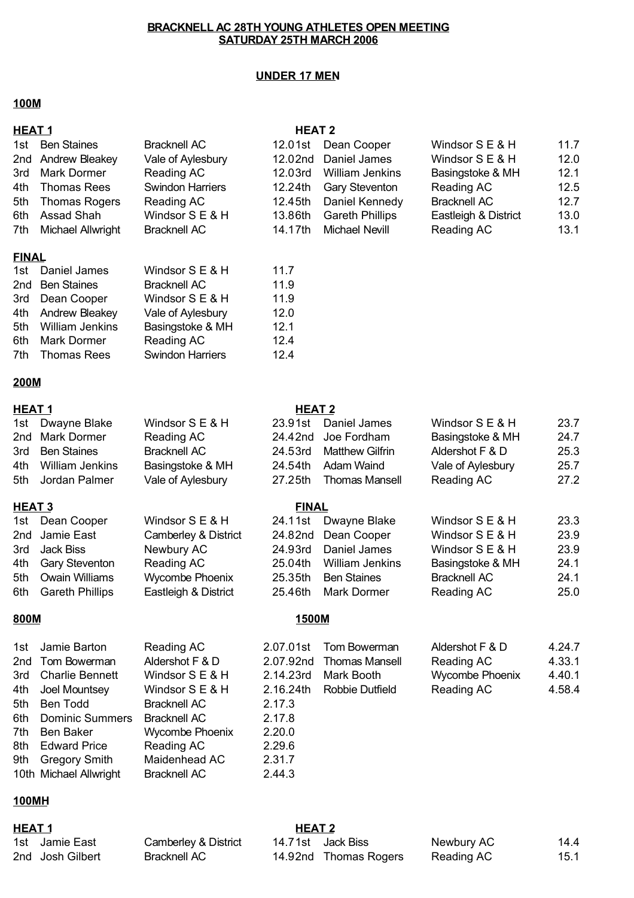#### **UNDER 17 MEN**

#### **100M**

| <b>HEAT1</b> |                       |                         | <b>HEAT 2</b> |                        |                      |      |
|--------------|-----------------------|-------------------------|---------------|------------------------|----------------------|------|
|              | 1st Ben Staines       | <b>Bracknell AC</b>     |               | 12.01st Dean Cooper    | Windsor S E & H      | 11.7 |
|              | 2nd Andrew Bleakey    | Vale of Aylesbury       |               | 12.02nd Daniel James   | Windsor S E & H      | 12.0 |
|              | 3rd Mark Dormer       | Reading AC              | 12.03rd       | <b>William Jenkins</b> | Basingstoke & MH     | 12.1 |
|              | 4th Thomas Rees       | <b>Swindon Harriers</b> |               | 12.24th Gary Steventon | Reading AC           | 12.5 |
|              | 5th Thomas Rogers     | Reading AC              |               | 12.45th Daniel Kennedy | <b>Bracknell AC</b>  | 12.7 |
|              | 6th Assad Shah        | Windsor S E & H         | 13.86th       | <b>Gareth Phillips</b> | Eastleigh & District | 13.0 |
|              | 7th Michael Allwright | <b>Bracknell AC</b>     | 14.17th       | <b>Michael Nevill</b>  | Reading AC           | 13.1 |
|              |                       |                         |               |                        |                      |      |

#### **FINAL**

| 1st Daniel James    | Windsor S E & H         | 11.7 |
|---------------------|-------------------------|------|
| 2nd Ben Staines     | <b>Bracknell AC</b>     | 11.9 |
| 3rd Dean Cooper     | Windsor S E & H         | 11.9 |
| 4th Andrew Bleakey  | Vale of Aylesbury       | 12.0 |
| 5th William Jenkins | Basingstoke & MH        | 12.1 |
| 6th Mark Dormer     | Reading AC              | 12.4 |
| 7th Thomas Rees     | <b>Swindon Harriers</b> | 12.4 |

## **200M**

#### **HEAT 1 HEAT 2**

#### 1st Dwayne Blake Windsor S E & H 23.91st Daniel James Windsor S E & H 23.7 2nd Mark Dormer Reading AC 24.42nd Joe Fordham 24.7 Basingstoke & MH 3rd 24.53rd 25.3 Ben Staines Bracknell AC Matthew Gilfrin Aldershot F & D 4th William Jenkins Basingstoke & MH 24.54th Adam Waind Vale of Aylesbury 25.7 Basingstoke & MH

#### **HEAT 3 FINAL** 1st Dean Cooper Windsor S E & H 24.11st Dwayne Blake Windsor S E & H 23.3 2nd Jamie East Camberley & District 24.82nd Dean Cooper Windsor S E & H 23.9 Newbury AC 24.93rd Daniel James Windsor S E & H 23.9 4th Gary Steventon Reading AC 25.04th William Jenkins Basingstoke & MH 24.1 5th Owain Williams Mycombe Phoenix 25.35th Ben Staines Bracknell AC 24.1 6th Gareth Phillips 25.46th Mark Dormer Reading AC 25.0 3rd Jack Biss Eastleigh & District

| 1st Jamie Barton       | Reading AC             |           | 2.07.01st Tom Bowerman | Aldershot F & D | 4.24.7 |
|------------------------|------------------------|-----------|------------------------|-----------------|--------|
| 2nd Tom Bowerman       | Aldershot F & D        | 2.07.92nd | Thomas Mansell         | Reading AC      | 4.33.1 |
| 3rd Charlie Bennett    | Windsor $S \to \& H$   | 2.14.23rd | Mark Booth             | Wycombe Phoenix | 4.40.1 |
| 4th Joel Mountsey      | Windsor $S \to \& H$   | 2.16.24th | Robbie Dutfield        | Reading AC      | 4.58.4 |
| 5th Ben Todd           | <b>Bracknell AC</b>    | 2.17.3    |                        |                 |        |
| 6th Dominic Summers    | <b>Bracknell AC</b>    | 2.17.8    |                        |                 |        |
| 7th Ben Baker          | <b>Wycombe Phoenix</b> | 2.20.0    |                        |                 |        |
| 8th Edward Price       | Reading AC             | 2.29.6    |                        |                 |        |
| 9th Gregory Smith      | Maidenhead AC          | 2.31.7    |                        |                 |        |
| 10th Michael Allwright | <b>Bracknell AC</b>    | 2.44.3    |                        |                 |        |
|                        |                        |           |                        |                 |        |

#### **100MH**

| 1st Jamie East   |  |
|------------------|--|
| 2nd Josh Gilbert |  |

Bracknell AC

#### **HEAT 1 HEAT 2** 1st Jamie East Camberley & District 14.71st Jack Biss Newbury AC 14.4 14.92nd Thomas Rogers Reading AC 15.1

5th Jordan Palmer 27.25th Reading AC 27.2 Vale of Aylesbury Thomas Mansell

Aldershot F & D

#### **800M 1500M**